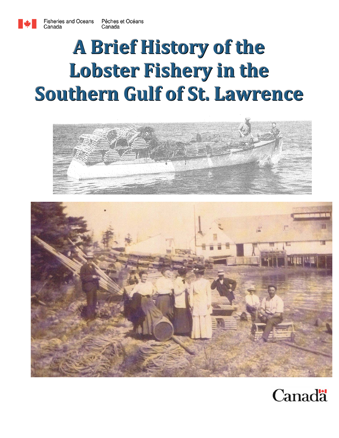# **A Brief History of the Lobster Fishery in the Southern Gulf of St. Lawrence**





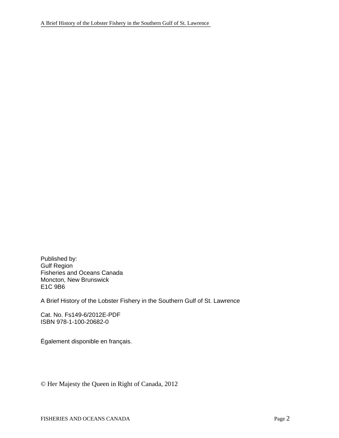Published by: Gulf Region Fisheries and Oceans Canada Moncton, New Brunswick E1C 9B6

A Brief History of the Lobster Fishery in the Southern Gulf of St. Lawrence

Cat. No. Fs149-6/2012E-PDF ISBN 978-1-100-20682-0

Également disponible en français.

© Her Majesty the Queen in Right of Canada, 2012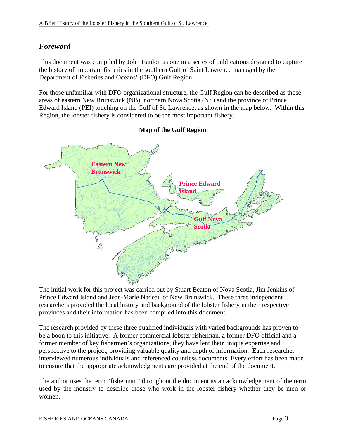### *Foreword*

This document was compiled by John Hanlon as one in a series of publications designed to capture the history of important fisheries in the southern Gulf of Saint Lawrence managed by the Department of Fisheries and Oceans' (DFO) Gulf Region.

For those unfamiliar with DFO organizational structure, the Gulf Region can be described as those areas of eastern New Brunswick (NB), northern Nova Scotia (NS) and the province of Prince Edward Island (PEI) touching on the Gulf of St. Lawrence, as shown in the map below. Within this Region, the lobster fishery is considered to be the most important fishery.



### **Map of the Gulf Region**

The initial work for this project was carried out by Stuart Beaton of Nova Scotia, Jim Jenkins of Prince Edward Island and Jean-Marie Nadeau of New Brunswick. These three independent researchers provided the local history and background of the lobster fishery in their respective provinces and their information has been compiled into this document.

The research provided by these three qualified individuals with varied backgrounds has proven to be a boon to this initiative. A former commercial lobster fisherman, a former DFO official and a former member of key fishermen's organizations, they have lent their unique expertise and perspective to the project, providing valuable quality and depth of information. Each researcher interviewed numerous individuals and referenced countless documents. Every effort has been made to ensure that the appropriate acknowledgments are provided at the end of the document.

The author uses the term "fisherman" throughout the document as an acknowledgement of the term used by the industry to describe those who work in the lobster fishery whether they be men or women.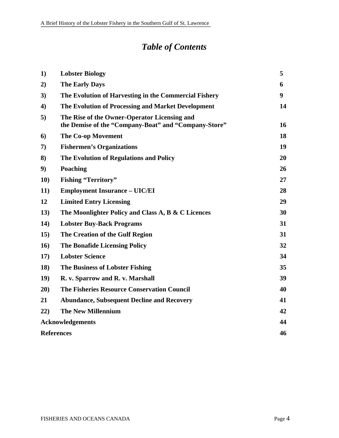# *Table of Contents*

| 1)                      | <b>Lobster Biology</b>                                                                               | 5  |
|-------------------------|------------------------------------------------------------------------------------------------------|----|
| 2)                      | <b>The Early Days</b>                                                                                | 6  |
| 3)                      | The Evolution of Harvesting in the Commercial Fishery                                                | 9  |
| 4)                      | The Evolution of Processing and Market Development                                                   | 14 |
| 5)                      | The Rise of the Owner-Operator Licensing and<br>the Demise of the "Company-Boat" and "Company-Store" | 16 |
| 6                       | <b>The Co-op Movement</b>                                                                            | 18 |
| 7)                      | <b>Fishermen's Organizations</b>                                                                     | 19 |
| 8)                      | The Evolution of Regulations and Policy                                                              | 20 |
| 9)                      | Poaching                                                                                             | 26 |
| <b>10)</b>              | <b>Fishing "Territory"</b>                                                                           | 27 |
| <b>11</b> )             | <b>Employment Insurance - UIC/EI</b>                                                                 | 28 |
| 12                      | <b>Limited Entry Licensing</b>                                                                       | 29 |
| 13)                     | The Moonlighter Policy and Class A, B & C Licences                                                   | 30 |
| 14)                     | <b>Lobster Buy-Back Programs</b>                                                                     | 31 |
| 15)                     | The Creation of the Gulf Region                                                                      | 31 |
| 16)                     | <b>The Bonafide Licensing Policy</b>                                                                 | 32 |
| 17)                     | <b>Lobster Science</b>                                                                               | 34 |
| 18)                     | <b>The Business of Lobster Fishing</b>                                                               | 35 |
| 19)                     | R. v. Sparrow and R. v. Marshall                                                                     | 39 |
| 20)                     | <b>The Fisheries Resource Conservation Council</b>                                                   | 40 |
| 21                      | <b>Abundance, Subsequent Decline and Recovery</b>                                                    | 41 |
| 22)                     | <b>The New Millennium</b>                                                                            | 42 |
| <b>Acknowledgements</b> |                                                                                                      | 44 |
| <b>References</b>       |                                                                                                      | 46 |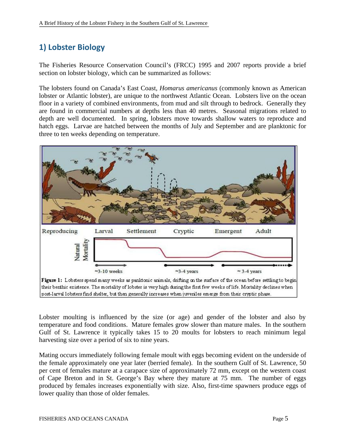# **1) Lobster Biology**

The Fisheries Resource Conservation Council's (FRCC) 1995 and 2007 reports provide a brief section on lobster biology, which can be summarized as follows:

The lobsters found on Canada's East Coast, *Homarus americanus* (commonly known as American lobster or Atlantic lobster), are unique to the northwest Atlantic Ocean. Lobsters live on the ocean floor in a variety of combined environments, from mud and silt through to bedrock. Generally they are found in commercial numbers at depths less than 40 metres. Seasonal migrations related to depth are well documented. In spring, lobsters move towards shallow waters to reproduce and hatch eggs. Larvae are hatched between the months of July and September and are planktonic for three to ten weeks depending on temperature.



post-larval lobsters find shelter, but then generally increases when juveriles emerge from their cryptic phase.

Lobster moulting is influenced by the size (or age) and gender of the lobster and also by temperature and food conditions. Mature females grow slower than mature males. In the southern Gulf of St. Lawrence it typically takes 15 to 20 moults for lobsters to reach minimum legal harvesting size over a period of six to nine years.

Mating occurs immediately following female moult with eggs becoming evident on the underside of the female approximately one year later (berried female). In the southern Gulf of St. Lawrence, 50 per cent of females mature at a carapace size of approximately 72 mm, except on the western coast of Cape Breton and in St. George's Bay where they mature at 75 mm. The number of eggs produced by females increases exponentially with size. Also, first-time spawners produce eggs of lower quality than those of older females.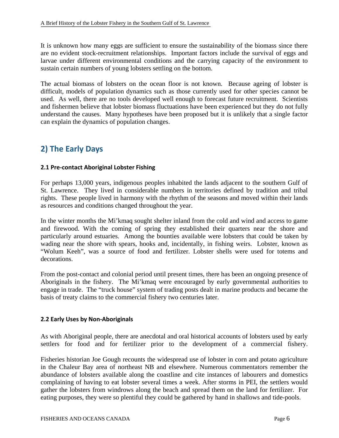It is unknown how many eggs are sufficient to ensure the sustainability of the biomass since there are no evident stock-recruitment relationships. Important factors include the survival of eggs and larvae under different environmental conditions and the carrying capacity of the environment to sustain certain numbers of young lobsters settling on the bottom.

The actual biomass of lobsters on the ocean floor is not known. Because ageing of lobster is difficult, models of population dynamics such as those currently used for other species cannot be used. As well, there are no tools developed well enough to forecast future recruitment. Scientists and fishermen believe that lobster biomass fluctuations have been experienced but they do not fully understand the causes. Many hypotheses have been proposed but it is unlikely that a single factor can explain the dynamics of population changes.

### **2) The Early Days**

### **2.1 Pre‐contact Aboriginal Lobster Fishing**

For perhaps 13,000 years, indigenous peoples inhabited the lands adjacent to the southern Gulf of St. Lawrence. They lived in considerable numbers in territories defined by tradition and tribal rights. These people lived in harmony with the rhythm of the seasons and moved within their lands as resources and conditions changed throughout the year.

In the winter months the Mi'kmaq sought shelter inland from the cold and wind and access to game and firewood. With the coming of spring they established their quarters near the shore and particularly around estuaries. Among the bounties available were lobsters that could be taken by wading near the shore with spears, hooks and, incidentally, in fishing weirs. Lobster, known as "Wolum Keeh", was a source of food and fertilizer. Lobster shells were used for totems and decorations.

From the post-contact and colonial period until present times, there has been an ongoing presence of Aboriginals in the fishery. The Mi'kmaq were encouraged by early governmental authorities to engage in trade. The "truck house" system of trading posts dealt in marine products and became the basis of treaty claims to the commercial fishery two centuries later.

### **2.2 Early Uses by Non‐Aboriginals**

As with Aboriginal people, there are anecdotal and oral historical accounts of lobsters used by early settlers for food and for fertilizer prior to the development of a commercial fishery.

Fisheries historian Joe Gough recounts the widespread use of lobster in corn and potato agriculture in the Chaleur Bay area of northeast NB and elsewhere. Numerous commentators remember the abundance of lobsters available along the coastline and cite instances of labourers and domestics complaining of having to eat lobster several times a week. After storms in PEI, the settlers would gather the lobsters from windrows along the beach and spread them on the land for fertilizer. For eating purposes, they were so plentiful they could be gathered by hand in shallows and tide-pools.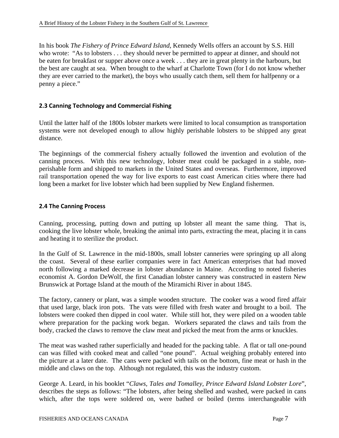In his book *The Fishery of Prince Edward Island*, Kennedy Wells offers an account by S.S. Hill who wrote: "As to lobsters . . . they should never be permitted to appear at dinner, and should not be eaten for breakfast or supper above once a week . . . they are in great plenty in the harbours, but the best are caught at sea. When brought to the wharf at Charlotte Town (for I do not know whether they are ever carried to the market), the boys who usually catch them, sell them for halfpenny or a penny a piece."

### **2.3 Canning Technology and Commercial Fishing**

Until the latter half of the 1800s lobster markets were limited to local consumption as transportation systems were not developed enough to allow highly perishable lobsters to be shipped any great distance.

The beginnings of the commercial fishery actually followed the invention and evolution of the canning process. With this new technology, lobster meat could be packaged in a stable, nonperishable form and shipped to markets in the United States and overseas. Furthermore, improved rail transportation opened the way for live exports to east coast American cities where there had long been a market for live lobster which had been supplied by New England fishermen.

### **2.4 The Canning Process**

Canning, processing, putting down and putting up lobster all meant the same thing. That is, cooking the live lobster whole, breaking the animal into parts, extracting the meat, placing it in cans and heating it to sterilize the product.

In the Gulf of St. Lawrence in the mid-1800s, small lobster canneries were springing up all along the coast. Several of these earlier companies were in fact American enterprises that had moved north following a marked decrease in lobster abundance in Maine. According to noted fisheries economist A. Gordon DeWolf, the first Canadian lobster cannery was constructed in eastern New Brunswick at Portage Island at the mouth of the Miramichi River in about 1845.

The factory, cannery or plant, was a simple wooden structure. The cooker was a wood fired affair that used large, black iron pots. The vats were filled with fresh water and brought to a boil. The lobsters were cooked then dipped in cool water. While still hot, they were piled on a wooden table where preparation for the packing work began. Workers separated the claws and tails from the body, cracked the claws to remove the claw meat and picked the meat from the arms or knuckles.

The meat was washed rather superficially and headed for the packing table. A flat or tall one-pound can was filled with cooked meat and called "one pound". Actual weighing probably entered into the picture at a later date. The cans were packed with tails on the bottom, fine meat or hash in the middle and claws on the top. Although not regulated, this was the industry custom.

George A. Leard, in his booklet "*Claws, Tales and Tomalley, Prince Edward Island Lobster Lore*", describes the steps as follows: "The lobsters, after being shelled and washed, were packed in cans which, after the tops were soldered on, were bathed or boiled (terms interchangeable with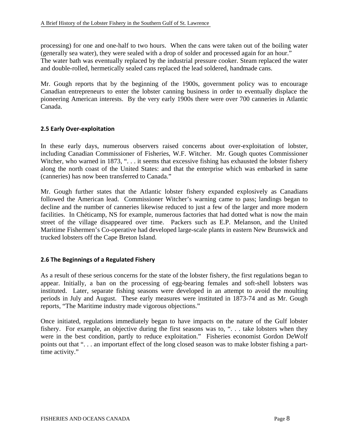processing) for one and one-half to two hours. When the cans were taken out of the boiling water (generally sea water), they were sealed with a drop of solder and processed again for an hour." The water bath was eventually replaced by the industrial pressure cooker. Steam replaced the water and double-rolled, hermetically sealed cans replaced the lead soldered, handmade cans.

Mr. Gough reports that by the beginning of the 1900s, government policy was to encourage Canadian entrepreneurs to enter the lobster canning business in order to eventually displace the pioneering American interests. By the very early 1900s there were over 700 canneries in Atlantic Canada.

### **2.5 Early Over‐exploitation**

In these early days, numerous observers raised concerns about over-exploitation of lobster, including Canadian Commissioner of Fisheries, W.F. Witcher. Mr. Gough quotes Commissioner Witcher, who warned in 1873, "... it seems that excessive fishing has exhausted the lobster fishery along the north coast of the United States: and that the enterprise which was embarked in same (canneries) has now been transferred to Canada."

Mr. Gough further states that the Atlantic lobster fishery expanded explosively as Canadians followed the American lead. Commissioner Witcher's warning came to pass; landings began to decline and the number of canneries likewise reduced to just a few of the larger and more modern facilities. In Chéticamp, NS for example, numerous factories that had dotted what is now the main street of the village disappeared over time. Packers such as E.P. Melanson, and the United Maritime Fishermen's Co-operative had developed large-scale plants in eastern New Brunswick and trucked lobsters off the Cape Breton Island.

### **2.6 The Beginnings of a Regulated Fishery**

As a result of these serious concerns for the state of the lobster fishery, the first regulations began to appear. Initially, a ban on the processing of egg-bearing females and soft-shell lobsters was instituted. Later, separate fishing seasons were developed in an attempt to avoid the moulting periods in July and August. These early measures were instituted in 1873-74 and as Mr. Gough reports, "The Maritime industry made vigorous objections."

Once initiated, regulations immediately began to have impacts on the nature of the Gulf lobster fishery. For example, an objective during the first seasons was to, ". . . take lobsters when they were in the best condition, partly to reduce exploitation." Fisheries economist Gordon DeWolf points out that "... an important effect of the long closed season was to make lobster fishing a parttime activity."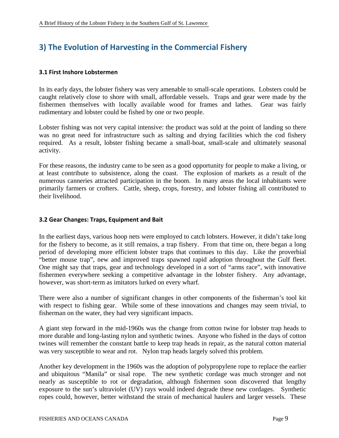### **3) The Evolution of Harvesting in the Commercial Fishery**

#### **3.1 First Inshore Lobstermen**

In its early days, the lobster fishery was very amenable to small-scale operations. Lobsters could be caught relatively close to shore with small, affordable vessels. Traps and gear were made by the fishermen themselves with locally available wood for frames and lathes. Gear was fairly rudimentary and lobster could be fished by one or two people.

Lobster fishing was not very capital intensive: the product was sold at the point of landing so there was no great need for infrastructure such as salting and drying facilities which the cod fishery required. As a result, lobster fishing became a small-boat, small-scale and ultimately seasonal activity.

For these reasons, the industry came to be seen as a good opportunity for people to make a living, or at least contribute to subsistence, along the coast. The explosion of markets as a result of the numerous canneries attracted participation in the boom. In many areas the local inhabitants were primarily farmers or crofters. Cattle, sheep, crops, forestry, and lobster fishing all contributed to their livelihood.

### **3.2 Gear Changes: Traps, Equipment and Bait**

In the earliest days, various hoop nets were employed to catch lobsters. However, it didn't take long for the fishery to become, as it still remains, a trap fishery. From that time on, there began a long period of developing more efficient lobster traps that continues to this day. Like the proverbial "better mouse trap", new and improved traps spawned rapid adoption throughout the Gulf fleet. One might say that traps, gear and technology developed in a sort of "arms race", with innovative fishermen everywhere seeking a competitive advantage in the lobster fishery. Any advantage, however, was short-term as imitators lurked on every wharf.

There were also a number of significant changes in other components of the fisherman's tool kit with respect to fishing gear. While some of these innovations and changes may seem trivial, to fisherman on the water, they had very significant impacts.

A giant step forward in the mid-1960s was the change from cotton twine for lobster trap heads to more durable and long-lasting nylon and synthetic twines. Anyone who fished in the days of cotton twines will remember the constant battle to keep trap heads in repair, as the natural cotton material was very susceptible to wear and rot. Nylon trap heads largely solved this problem.

Another key development in the 1960s was the adoption of polypropylene rope to replace the earlier and ubiquitous "Manila" or sisal rope. The new synthetic cordage was much stronger and not nearly as susceptible to rot or degradation, although fishermen soon discovered that lengthy exposure to the sun's ultraviolet (UV) rays would indeed degrade these new cordages. Synthetic ropes could, however, better withstand the strain of mechanical haulers and larger vessels. These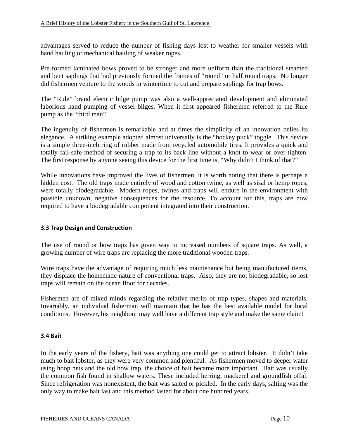advantages served to reduce the number of fishing days lost to weather for smaller vessels with hand hauling or mechanical hauling of weaker ropes.

Pre-formed laminated bows proved to be stronger and more uniform than the traditional steamed and bent saplings that had previously formed the frames of "round" or half round traps. No longer did fishermen venture to the woods in wintertime to cut and prepare saplings for trap bows.

The "Rule" brand electric bilge pump was also a well-appreciated development and eliminated laborious hand pumping of vessel bilges. When it first appeared fishermen referred to the Rule pump as the "third man"!

The ingenuity of fishermen is remarkable and at times the simplicity of an innovation belies its elegance. A striking example adopted almost universally is the "hockey puck" toggle. This device is a simple three-inch ring of rubber made from recycled automobile tires. It provides a quick and totally fail-safe method of securing a trap to its back line without a knot to wear or over-tighten. The first response by anyone seeing this device for the first time is, "Why didn't I think of that?"

While innovations have improved the lives of fishermen, it is worth noting that there is perhaps a hidden cost. The old traps made entirely of wood and cotton twine, as well as sisal or hemp ropes, were totally biodegradable. Modern ropes, twines and traps will endure in the environment with possible unknown, negative consequences for the resource. To account for this, traps are now required to have a biodegradable component integrated into their construction.

### **3.3 Trap Design and Construction**

The use of round or bow traps has given way to increased numbers of square traps. As well, a growing number of wire traps are replacing the more traditional wooden traps.

Wire traps have the advantage of requiring much less maintenance but being manufactured items, they displace the homemade nature of conventional traps. Also, they are not biodegradable, so lost traps will remain on the ocean floor for decades.

Fishermen are of mixed minds regarding the relative merits of trap types, shapes and materials. Invariably, an individual fisherman will maintain that he has the best available model for local conditions. However, his neighbour may well have a different trap style and make the same claim!

#### **3.4 Bait**

In the early years of the fishery, bait was anything one could get to attract lobster. It didn't take much to bait lobster, as they were very common and plentiful. As fishermen moved to deeper water using hoop nets and the old bow trap, the choice of bait became more important. Bait was usually the common fish found in shallow waters. These included herring, mackerel and groundfish offal. Since refrigeration was nonexistent, the bait was salted or pickled. In the early days, salting was the only way to make bait last and this method lasted for about one hundred years.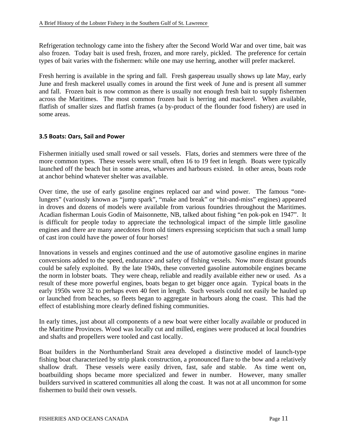Refrigeration technology came into the fishery after the Second World War and over time, bait was also frozen. Today bait is used fresh, frozen, and more rarely, pickled. The preference for certain types of bait varies with the fishermen: while one may use herring, another will prefer mackerel.

Fresh herring is available in the spring and fall. Fresh gaspereau usually shows up late May, early June and fresh mackerel usually comes in around the first week of June and is present all summer and fall. Frozen bait is now common as there is usually not enough fresh bait to supply fishermen across the Maritimes. The most common frozen bait is herring and mackerel. When available, flatfish of smaller sizes and flatfish frames (a by-product of the flounder food fishery) are used in some areas.

### **3.5 Boats: Oars, Sail and Power**

Fishermen initially used small rowed or sail vessels. Flats, dories and stemmers were three of the more common types. These vessels were small, often 16 to 19 feet in length. Boats were typically launched off the beach but in some areas, wharves and harbours existed. In other areas, boats rode at anchor behind whatever shelter was available.

Over time, the use of early gasoline engines replaced oar and wind power. The famous "onelungers" (variously known as "jump spark", "make and break" or "hit-and-miss" engines) appeared in droves and dozens of models were available from various foundries throughout the Maritimes. Acadian fisherman Louis Godin of Maisonnette, NB, talked about fishing "en pok-pok en 1947". It is difficult for people today to appreciate the technological impact of the simple little gasoline engines and there are many anecdotes from old timers expressing scepticism that such a small lump of cast iron could have the power of four horses!

Innovations in vessels and engines continued and the use of automotive gasoline engines in marine conversions added to the speed, endurance and safety of fishing vessels. Now more distant grounds could be safely exploited. By the late 1940s, these converted gasoline automobile engines became the norm in lobster boats. They were cheap, reliable and readily available either new or used. As a result of these more powerful engines, boats began to get bigger once again. Typical boats in the early 1950s were 32 to perhaps even 40 feet in length. Such vessels could not easily be hauled up or launched from beaches, so fleets began to aggregate in harbours along the coast. This had the effect of establishing more clearly defined fishing communities.

In early times, just about all components of a new boat were either locally available or produced in the Maritime Provinces. Wood was locally cut and milled, engines were produced at local foundries and shafts and propellers were tooled and cast locally.

Boat builders in the Northumberland Strait area developed a distinctive model of launch-type fishing boat characterized by strip plank construction, a pronounced flare to the bow and a relatively shallow draft. These vessels were easily driven, fast, safe and stable. As time went on, boatbuilding shops became more specialized and fewer in number. However, many smaller builders survived in scattered communities all along the coast. It was not at all uncommon for some fishermen to build their own vessels.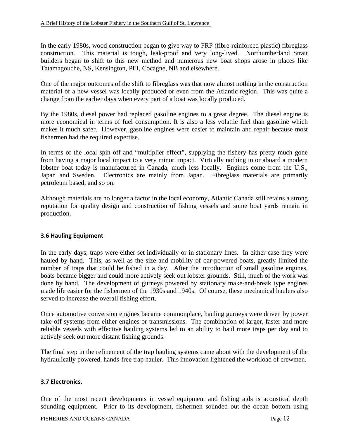In the early 1980s, wood construction began to give way to FRP (fibre-reinforced plastic) fibreglass construction. This material is tough, leak-proof and very long-lived. Northumberland Strait builders began to shift to this new method and numerous new boat shops arose in places like Tatamagouche, NS, Kensington, PEI, Cocagne, NB and elsewhere.

One of the major outcomes of the shift to fibreglass was that now almost nothing in the construction material of a new vessel was locally produced or even from the Atlantic region. This was quite a change from the earlier days when every part of a boat was locally produced.

By the 1980s, diesel power had replaced gasoline engines to a great degree. The diesel engine is more economical in terms of fuel consumption. It is also a less volatile fuel than gasoline which makes it much safer. However, gasoline engines were easier to maintain and repair because most fishermen had the required expertise.

In terms of the local spin off and "multiplier effect", supplying the fishery has pretty much gone from having a major local impact to a very minor impact. Virtually nothing in or aboard a modern lobster boat today is manufactured in Canada, much less locally. Engines come from the U.S., Japan and Sweden. Electronics are mainly from Japan. Fibreglass materials are primarily petroleum based, and so on.

Although materials are no longer a factor in the local economy, Atlantic Canada still retains a strong reputation for quality design and construction of fishing vessels and some boat yards remain in production.

### **3.6 Hauling Equipment**

In the early days, traps were either set individually or in stationary lines. In either case they were hauled by hand. This, as well as the size and mobility of oar-powered boats, greatly limited the number of traps that could be fished in a day. After the introduction of small gasoline engines, boats became bigger and could more actively seek out lobster grounds. Still, much of the work was done by hand. The development of gurneys powered by stationary make-and-break type engines made life easier for the fishermen of the 1930s and 1940s. Of course, these mechanical haulers also served to increase the overall fishing effort.

Once automotive conversion engines became commonplace, hauling gurneys were driven by power take-off systems from either engines or transmissions. The combination of larger, faster and more reliable vessels with effective hauling systems led to an ability to haul more traps per day and to actively seek out more distant fishing grounds.

The final step in the refinement of the trap hauling systems came about with the development of the hydraulically powered, hands-free trap hauler. This innovation lightened the workload of crewmen.

### **3.7 Electronics.**

One of the most recent developments in vessel equipment and fishing aids is acoustical depth sounding equipment. Prior to its development, fishermen sounded out the ocean bottom using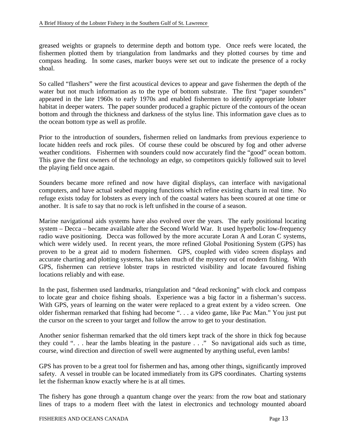greased weights or grapnels to determine depth and bottom type. Once reefs were located, the fishermen plotted them by triangulation from landmarks and they plotted courses by time and compass heading. In some cases, marker buoys were set out to indicate the presence of a rocky shoal.

So called "flashers" were the first acoustical devices to appear and gave fishermen the depth of the water but not much information as to the type of bottom substrate. The first "paper sounders" appeared in the late 1960s to early 1970s and enabled fishermen to identify appropriate lobster habitat in deeper waters. The paper sounder produced a graphic picture of the contours of the ocean bottom and through the thickness and darkness of the stylus line. This information gave clues as to the ocean bottom type as well as profile.

Prior to the introduction of sounders, fishermen relied on landmarks from previous experience to locate hidden reefs and rock piles. Of course these could be obscured by fog and other adverse weather conditions. Fishermen with sounders could now accurately find the "good" ocean bottom. This gave the first owners of the technology an edge, so competitors quickly followed suit to level the playing field once again.

Sounders became more refined and now have digital displays, can interface with navigational computers, and have actual seabed mapping functions which refine existing charts in real time. No refuge exists today for lobsters as every inch of the coastal waters has been scoured at one time or another. It is safe to say that no rock is left unfished in the course of a season.

Marine navigational aids systems have also evolved over the years. The early positional locating system – Decca – became available after the Second World War. It used hyperbolic low-frequency radio wave positioning. Decca was followed by the more accurate Loran A and Loran C systems, which were widely used. In recent years, the more refined Global Positioning System (GPS) has proven to be a great aid to modern fishermen. GPS, coupled with video screen displays and accurate charting and plotting systems, has taken much of the mystery out of modern fishing. With GPS, fishermen can retrieve lobster traps in restricted visibility and locate favoured fishing locations reliably and with ease.

In the past, fishermen used landmarks, triangulation and "dead reckoning" with clock and compass to locate gear and choice fishing shoals. Experience was a big factor in a fisherman's success. With GPS, years of learning on the water were replaced to a great extent by a video screen. One older fisherman remarked that fishing had become ". . . a video game, like Pac Man." You just put the cursor on the screen to your target and follow the arrow to get to your destination.

Another senior fisherman remarked that the old timers kept track of the shore in thick fog because they could ". . . hear the lambs bleating in the pasture . . ." So navigational aids such as time, course, wind direction and direction of swell were augmented by anything useful, even lambs!

GPS has proven to be a great tool for fishermen and has, among other things, significantly improved safety. A vessel in trouble can be located immediately from its GPS coordinates. Charting systems let the fisherman know exactly where he is at all times.

The fishery has gone through a quantum change over the years: from the row boat and stationary lines of traps to a modern fleet with the latest in electronics and technology mounted aboard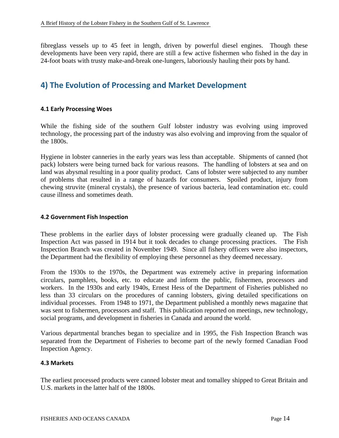fibreglass vessels up to 45 feet in length, driven by powerful diesel engines. Though these developments have been very rapid, there are still a few active fishermen who fished in the day in 24-foot boats with trusty make-and-break one-lungers, laboriously hauling their pots by hand.

### **4) The Evolution of Processing and Market Development**

### **4.1 Early Processing Woes**

While the fishing side of the southern Gulf lobster industry was evolving using improved technology, the processing part of the industry was also evolving and improving from the squalor of the 1800s.

Hygiene in lobster canneries in the early years was less than acceptable. Shipments of canned (hot pack) lobsters were being turned back for various reasons. The handling of lobsters at sea and on land was abysmal resulting in a poor quality product. Cans of lobster were subjected to any number of problems that resulted in a range of hazards for consumers. Spoiled product, injury from chewing struvite (mineral crystals), the presence of various bacteria, lead contamination etc. could cause illness and sometimes death.

#### **4.2 Government Fish Inspection**

These problems in the earlier days of lobster processing were gradually cleaned up. The Fish Inspection Act was passed in 1914 but it took decades to change processing practices. The Fish Inspection Branch was created in November 1949. Since all fishery officers were also inspectors, the Department had the flexibility of employing these personnel as they deemed necessary.

From the 1930s to the 1970s, the Department was extremely active in preparing information circulars, pamphlets, books, etc. to educate and inform the public, fishermen, processors and workers. In the 1930s and early 1940s, Ernest Hess of the Department of Fisheries published no less than 33 circulars on the procedures of canning lobsters, giving detailed specifications on individual processes. From 1948 to 1971, the Department published a monthly news magazine that was sent to fishermen, processors and staff. This publication reported on meetings, new technology, social programs, and development in fisheries in Canada and around the world.

Various departmental branches began to specialize and in 1995, the Fish Inspection Branch was separated from the Department of Fisheries to become part of the newly formed Canadian Food Inspection Agency.

### **4.3 Markets**

The earliest processed products were canned lobster meat and tomalley shipped to Great Britain and U.S. markets in the latter half of the 1800s.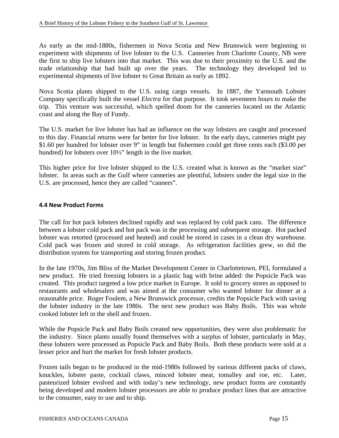As early as the mid-1880s, fishermen in Nova Scotia and New Brunswick were beginning to experiment with shipments of live lobster to the U.S. Canneries from Charlotte County, NB were the first to ship live lobsters into that market. This was due to their proximity to the U.S. and the trade relationship that had built up over the years. The technology they developed led to experimental shipments of live lobster to Great Britain as early as 1892.

Nova Scotia plants shipped to the U.S. using cargo vessels. In 1887, the Yarmouth Lobster Company specifically built the vessel *Electra* for that purpose. It took seventeen hours to make the trip. This venture was successful, which spelled doom for the canneries located on the Atlantic coast and along the Bay of Fundy.

The U.S. market for live lobster has had an influence on the way lobsters are caught and processed to this day. Financial returns were far better for live lobster. In the early days, canneries might pay \$1.60 per hundred for lobster over 9" in length but fishermen could get three cents each (\$3.00 per hundred) for lobsters over  $10\frac{1}{2}$ " length in the live market.

This higher price for live lobster shipped to the U.S. created what is known as the "market size" lobster. In areas such as the Gulf where canneries are plentiful, lobsters under the legal size in the U.S. are processed, hence they are called "canners".

### **4.4 New Product Forms**

The call for hot pack lobsters declined rapidly and was replaced by cold pack cans. The difference between a lobster cold pack and hot pack was in the processing and subsequent storage. Hot packed lobster was retorted (processed and heated) and could be stored in cases in a clean dry warehouse. Cold pack was frozen and stored in cold storage. As refrigeration facilities grew, so did the distribution system for transporting and storing frozen product.

In the late 1970s, Jim Bliss of the Market Development Center in Charlottetown, PEI, formulated a new product. He tried freezing lobsters in a plastic bag with brine added: the Popsicle Pack was created. This product targeted a low price market in Europe. It sold to grocery stores as opposed to restaurants and wholesalers and was aimed at the consumer who wanted lobster for dinner at a reasonable price. Roger Foulem, a New Brunswick processor, credits the Popsicle Pack with saving the lobster industry in the late 1980s. The next new product was Baby Boils. This was whole cooked lobster left in the shell and frozen.

While the Popsicle Pack and Baby Boils created new opportunities, they were also problematic for the industry. Since plants usually found themselves with a surplus of lobster, particularly in May, these lobsters were processed as Popsicle Pack and Baby Boils. Both these products were sold at a lesser price and hurt the market for fresh lobster products.

Frozen tails began to be produced in the mid-1980s followed by various different packs of claws, knuckles, lobster paste, cocktail claws, minced lobster meat, tomalley and roe, etc. Later, pasteurized lobster evolved and with today's new technology, new product forms are constantly being developed and modern lobster processors are able to produce product lines that are attractive to the consumer, easy to use and to ship.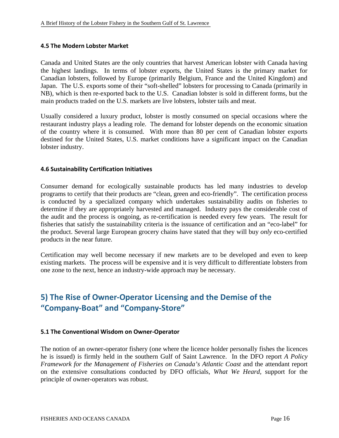### **4.5 The Modern Lobster Market**

Canada and United States are the only countries that harvest American lobster with Canada having the highest landings. In terms of lobster exports, the United States is the primary market for Canadian lobsters, followed by Europe (primarily Belgium, France and the United Kingdom) and Japan. The U.S. exports some of their "soft-shelled" lobsters for processing to Canada (primarily in NB), which is then re-exported back to the U.S. Canadian lobster is sold in different forms, but the main products traded on the U.S. markets are live lobsters, lobster tails and meat.

Usually considered a luxury product, lobster is mostly consumed on special occasions where the restaurant industry plays a leading role. The demand for lobster depends on the economic situation of the country where it is consumed. With more than 80 per cent of Canadian lobster exports destined for the United States, U.S. market conditions have a significant impact on the Canadian lobster industry.

### **4.6 Sustainability Certification Initiatives**

Consumer demand for ecologically sustainable products has led many industries to develop programs to certify that their products are "clean, green and eco-friendly". The certification process is conducted by a specialized company which undertakes sustainability audits on fisheries to determine if they are appropriately harvested and managed. Industry pays the considerable cost of the audit and the process is ongoing, as re-certification is needed every few years. The result for fisheries that satisfy the sustainability criteria is the issuance of certification and an "eco-label" for the product. Several large European grocery chains have stated that they will buy *only* eco-certified products in the near future.

Certification may well become necessary if new markets are to be developed and even to keep existing markets. The process will be expensive and it is very difficult to differentiate lobsters from one zone to the next, hence an industry-wide approach may be necessary.

### **5) The Rise of Owner‐Operator Licensing and the Demise of the "Company‐Boat" and "Company‐Store"**

### **5.1 The Conventional Wisdom on Owner‐Operator**

The notion of an owner-operator fishery (one where the licence holder personally fishes the licences he is issued) is firmly held in the southern Gulf of Saint Lawrence. In the DFO report *A Policy Framework for the Management of Fisheries on Canada's Atlantic Coast* and the attendant report on the extensive consultations conducted by DFO officials, *What We Heard,* support for the principle of owner-operators was robust.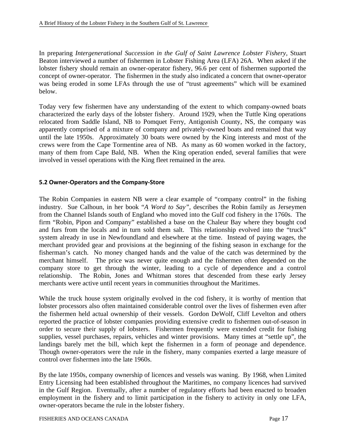In preparing *Intergenerational Succession in the Gulf of Saint Lawrence Lobster Fishery,* Stuart Beaton interviewed a number of fishermen in Lobster Fishing Area (LFA) 26A. When asked if the lobster fishery should remain an owner-operator fishery, 96.6 per cent of fishermen supported the concept of owner-operator. The fishermen in the study also indicated a concern that owner-operator was being eroded in some LFAs through the use of "trust agreements" which will be examined below.

Today very few fishermen have any understanding of the extent to which company-owned boats characterized the early days of the lobster fishery. Around 1929, when the Tuttle King operations relocated from Saddle Island, NB to Pomquet Ferry, Antigonish County, NS, the company was apparently comprised of a mixture of company and privately-owned boats and remained that way until the late 1950s. Approximately 30 boats were owned by the King interests and most of the crews were from the Cape Tormentine area of NB. As many as 60 women worked in the factory, many of them from Cape Bald, NB. When the King operation ended, several families that were involved in vessel operations with the King fleet remained in the area.

### **5.2 Owner‐Operators and the Company‐Store**

The Robin Companies in eastern NB were a clear example of "company control" in the fishing industry. Sue Calhoun, in her book "*A Word to Say",* describes the Robin family as Jerseymen from the Channel Islands south of England who moved into the Gulf cod fishery in the 1760s. The firm "Robin, Pipon and Company" established a base on the Chaleur Bay where they bought cod and furs from the locals and in turn sold them salt. This relationship evolved into the "truck" system already in use in Newfoundland and elsewhere at the time. Instead of paying wages, the merchant provided gear and provisions at the beginning of the fishing season in exchange for the fisherman's catch. No money changed hands and the value of the catch was determined by the merchant himself. The price was never quite enough and the fishermen often depended on the company store to get through the winter, leading to a cycle of dependence and a control relationship. The Robin, Jones and Whitman stores that descended from these early Jersey merchants were active until recent years in communities throughout the Maritimes.

While the truck house system originally evolved in the cod fishery, it is worthy of mention that lobster processors also often maintained considerable control over the lives of fishermen even after the fishermen held actual ownership of their vessels. Gordon DeWolf, Cliff Levelton and others reported the practice of lobster companies providing extensive credit to fishermen out-of-season in order to secure their supply of lobsters. Fishermen frequently were extended credit for fishing supplies, vessel purchases, repairs, vehicles and winter provisions. Many times at "settle up", the landings barely met the bill, which kept the fishermen in a form of peonage and dependence. Though owner-operators were the rule in the fishery, many companies exerted a large measure of control over fishermen into the late 1960s.

By the late 1950s, company ownership of licences and vessels was waning. By 1968, when Limited Entry Licensing had been established throughout the Maritimes, no company licences had survived in the Gulf Region. Eventually, after a number of regulatory efforts had been enacted to broaden employment in the fishery and to limit participation in the fishery to activity in only one LFA, owner-operators became the rule in the lobster fishery.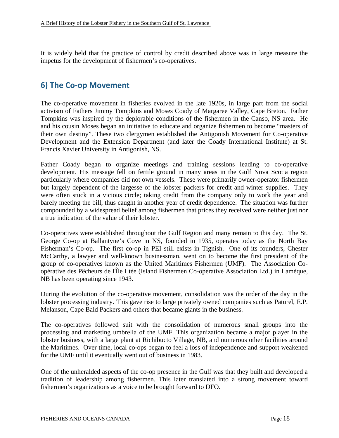It is widely held that the practice of control by credit described above was in large measure the impetus for the development of fishermen's co-operatives.

### **6) The Co‐op Movement**

The co-operative movement in fisheries evolved in the late 1920s, in large part from the social activism of Fathers Jimmy Tompkins and Moses Coady of Margaree Valley, Cape Breton. Father Tompkins was inspired by the deplorable conditions of the fishermen in the Canso, NS area. He and his cousin Moses began an initiative to educate and organize fishermen to become "masters of their own destiny". These two clergymen established the Antigonish Movement for Co-operative Development and the Extension Department (and later the Coady International Institute) at St. Francis Xavier University in Antigonish, NS.

Father Coady began to organize meetings and training sessions leading to co-operative development. His message fell on fertile ground in many areas in the Gulf Nova Scotia region particularly where companies did not own vessels. These were primarily owner-operator fishermen but largely dependent of the largesse of the lobster packers for credit and winter supplies. They were often stuck in a vicious circle; taking credit from the company only to work the year and barely meeting the bill, thus caught in another year of credit dependence. The situation was further compounded by a widespread belief among fishermen that prices they received were neither just nor a true indication of the value of their lobster.

Co-operatives were established throughout the Gulf Region and many remain to this day. The St. George Co-op at Ballantyne's Cove in NS, founded in 1935, operates today as the North Bay Fisherman's Co-op. The first co-op in PEI still exists in Tignish. One of its founders, Chester McCarthy, a lawyer and well-known businessman, went on to become the first president of the group of co-operatives known as the United Maritimes Fishermen (UMF). The Association Coopérative des Pêcheurs de l'Île Ltée (Island Fishermen Co-operative Association Ltd.) in Lamèque, NB has been operating since 1943.

During the evolution of the co-operative movement, consolidation was the order of the day in the lobster processing industry. This gave rise to large privately owned companies such as Paturel, E.P. Melanson, Cape Bald Packers and others that became giants in the business.

The co-operatives followed suit with the consolidation of numerous small groups into the processing and marketing umbrella of the UMF. This organization became a major player in the lobster business, with a large plant at Richibucto Village, NB, and numerous other facilities around the Maritimes. Over time, local co-ops began to feel a loss of independence and support weakened for the UMF until it eventually went out of business in 1983.

One of the unheralded aspects of the co-op presence in the Gulf was that they built and developed a tradition of leadership among fishermen. This later translated into a strong movement toward fishermen's organizations as a voice to be brought forward to DFO.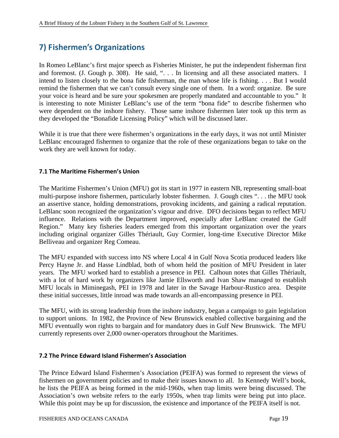# **7) Fishermen's Organizations**

In Romeo LeBlanc's first major speech as Fisheries Minister, he put the independent fisherman first and foremost. (J. Gough p. 308). He said, ". . . In licensing and all these associated matters. I intend to listen closely to the bona fide fisherman, the man whose life is fishing. . . . But I would remind the fishermen that we can't consult every single one of them. In a word: organize. Be sure your voice is heard and be sure your spokesmen are properly mandated and accountable to you." It is interesting to note Minister LeBlanc's use of the term "bona fide" to describe fishermen who were dependent on the inshore fishery. Those same inshore fishermen later took up this term as they developed the "Bonafide Licensing Policy" which will be discussed later.

While it is true that there were fishermen's organizations in the early days, it was not until Minister LeBlanc encouraged fishermen to organize that the role of these organizations began to take on the work they are well known for today.

### **7.1 The Maritime Fishermen's Union**

The Maritime Fishermen's Union (MFU) got its start in 1977 in eastern NB, representing small-boat multi-purpose inshore fishermen, particularly lobster fishermen. J. Gough cites ". . . the MFU took an assertive stance, holding demonstrations, provoking incidents, and gaining a radical reputation. LeBlanc soon recognized the organization's vigour and drive. DFO decisions began to reflect MFU influence. Relations with the Department improved, especially after LeBlanc created the Gulf Region." Many key fisheries leaders emerged from this important organization over the years including original organizer Gilles Thériault, Guy Cormier, long-time Executive Director Mike Belliveau and organizer Reg Comeau.

The MFU expanded with success into NS where Local 4 in Gulf Nova Scotia produced leaders like Percy Hayne Jr. and Hasse Lindblad, both of whom held the position of MFU President in later years. The MFU worked hard to establish a presence in PEI. Calhoun notes that Gilles Thériault, with a lot of hard work by organizers like Jamie Ellsworth and Ivan Shaw managed to establish MFU locals in Miminegash, PEI in 1978 and later in the Savage Harbour-Rustico area. Despite these initial successes, little inroad was made towards an all-encompassing presence in PEI.

The MFU, with its strong leadership from the inshore industry, began a campaign to gain legislation to support unions. In 1982, the Province of New Brunswick enabled collective bargaining and the MFU eventually won rights to bargain and for mandatory dues in Gulf New Brunswick. The MFU currently represents over 2,000 owner-operators throughout the Maritimes.

### **7.2 The Prince Edward Island Fishermen's Association**

The Prince Edward Island Fishermen's Association (PEIFA) was formed to represent the views of fishermen on government policies and to make their issues known to all. In Kennedy Well's book, he lists the PEIFA as being formed in the mid-1960s, when trap limits were being discussed. The Association's own website refers to the early 1950s, when trap limits were being put into place. While this point may be up for discussion, the existence and importance of the PEIFA itself is not.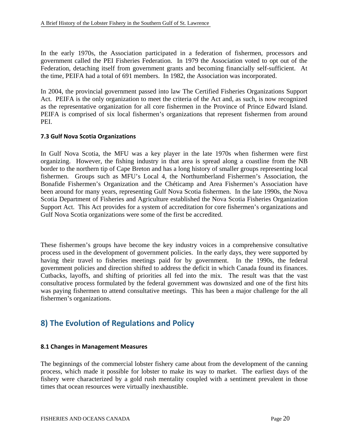In the early 1970s, the Association participated in a federation of fishermen, processors and government called the PEI Fisheries Federation. In 1979 the Association voted to opt out of the Federation, detaching itself from government grants and becoming financially self-sufficient. At the time, PEIFA had a total of 691 members. In 1982, the Association was incorporated.

In 2004, the provincial government passed into law The Certified Fisheries Organizations Support Act. PEIFA is the only organization to meet the criteria of the Act and, as such, is now recognized as the representative organization for all core fishermen in the Province of Prince Edward Island. PEIFA is comprised of six local fishermen's organizations that represent fishermen from around PEI.

### **7.3 Gulf Nova Scotia Organizations**

In Gulf Nova Scotia, the MFU was a key player in the late 1970s when fishermen were first organizing. However, the fishing industry in that area is spread along a coastline from the NB border to the northern tip of Cape Breton and has a long history of smaller groups representing local fishermen. Groups such as MFU's Local 4, the Northumberland Fishermen's Association, the Bonafide Fishermen's Organization and the Chéticamp and Area Fishermen's Association have been around for many years, representing Gulf Nova Scotia fishermen. In the late 1990s, the Nova Scotia Department of Fisheries and Agriculture established the Nova Scotia Fisheries Organization Support Act. This Act provides for a system of accreditation for core fishermen's organizations and Gulf Nova Scotia organizations were some of the first be accredited.

These fishermen's groups have become the key industry voices in a comprehensive consultative process used in the development of government policies. In the early days, they were supported by having their travel to fisheries meetings paid for by government. In the 1990s, the federal government policies and direction shifted to address the deficit in which Canada found its finances. Cutbacks, layoffs, and shifting of priorities all fed into the mix. The result was that the vast consultative process formulated by the federal government was downsized and one of the first hits was paying fishermen to attend consultative meetings. This has been a major challenge for the all fishermen's organizations.

### **8) The Evolution of Regulations and Policy**

### **8.1 Changes in Management Measures**

The beginnings of the commercial lobster fishery came about from the development of the canning process, which made it possible for lobster to make its way to market. The earliest days of the fishery were characterized by a gold rush mentality coupled with a sentiment prevalent in those times that ocean resources were virtually inexhaustible.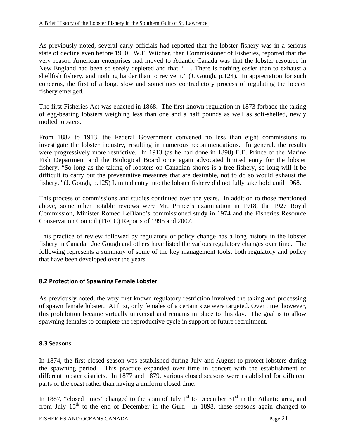As previously noted, several early officials had reported that the lobster fishery was in a serious state of decline even before 1900. W.F. Witcher, then Commissioner of Fisheries, reported that the very reason American enterprises had moved to Atlantic Canada was that the lobster resource in New England had been so sorely depleted and that ". . . There is nothing easier than to exhaust a shellfish fishery, and nothing harder than to revive it." (J. Gough, p.124). In appreciation for such concerns, the first of a long, slow and sometimes contradictory process of regulating the lobster fishery emerged.

The first Fisheries Act was enacted in 1868. The first known regulation in 1873 forbade the taking of egg-bearing lobsters weighing less than one and a half pounds as well as soft-shelled, newly molted lobsters.

From 1887 to 1913, the Federal Government convened no less than eight commissions to investigate the lobster industry, resulting in numerous recommendations. In general, the results were progressively more restrictive. In 1913 (as he had done in 1898) E.E. Prince of the Marine Fish Department and the Biological Board once again advocated limited entry for the lobster fishery. "So long as the taking of lobsters on Canadian shores is a free fishery, so long will it be difficult to carry out the preventative measures that are desirable, not to do so would exhaust the fishery." (J. Gough, p.125) Limited entry into the lobster fishery did not fully take hold until 1968.

This process of commissions and studies continued over the years. In addition to those mentioned above, some other notable reviews were Mr. Prince's examination in 1918, the 1927 Royal Commission, Minister Romeo LeBlanc's commissioned study in 1974 and the Fisheries Resource Conservation Council (FRCC) Reports of 1995 and 2007.

This practice of review followed by regulatory or policy change has a long history in the lobster fishery in Canada. Joe Gough and others have listed the various regulatory changes over time. The following represents a summary of some of the key management tools, both regulatory and policy that have been developed over the years.

### **8.2 Protection of Spawning Female Lobster**

As previously noted, the very first known regulatory restriction involved the taking and processing of spawn female lobster. At first, only females of a certain size were targeted. Over time, however, this prohibition became virtually universal and remains in place to this day. The goal is to allow spawning females to complete the reproductive cycle in support of future recruitment.

### **8.3 Seasons**

In 1874, the first closed season was established during July and August to protect lobsters during the spawning period. This practice expanded over time in concert with the establishment of different lobster districts. In 1877 and 1879, various closed seasons were established for different parts of the coast rather than having a uniform closed time.

In 1887, "closed times" changed to the span of July  $1<sup>st</sup>$  to December 31 $<sup>st</sup>$  in the Atlantic area, and</sup> from July  $15<sup>th</sup>$  to the end of December in the Gulf. In 1898, these seasons again changed to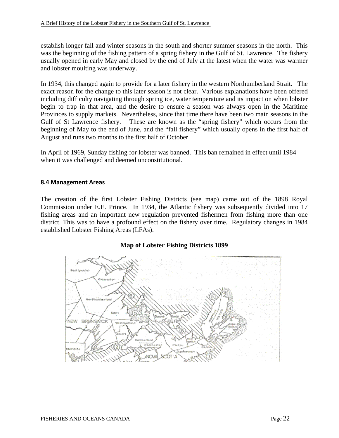establish longer fall and winter seasons in the south and shorter summer seasons in the north. This was the beginning of the fishing pattern of a spring fishery in the Gulf of St. Lawrence. The fishery usually opened in early May and closed by the end of July at the latest when the water was warmer and lobster moulting was underway.

In 1934, this changed again to provide for a later fishery in the western Northumberland Strait. The exact reason for the change to this later season is not clear. Various explanations have been offered including difficulty navigating through spring ice, water temperature and its impact on when lobster begin to trap in that area, and the desire to ensure a season was always open in the Maritime Provinces to supply markets. Nevertheless, since that time there have been two main seasons in the Gulf of St Lawrence fishery. These are known as the "spring fishery" which occurs from the beginning of May to the end of June, and the "fall fishery" which usually opens in the first half of August and runs two months to the first half of October.

In April of 1969, Sunday fishing for lobster was banned. This ban remained in effect until 1984 when it was challenged and deemed unconstitutional.

### **8.4 Management Areas**

The creation of the first Lobster Fishing Districts (see map) came out of the 1898 Royal Commission under E.E. Prince. In 1934, the Atlantic fishery was subsequently divided into 17 fishing areas and an important new regulation prevented fishermen from fishing more than one district. This was to have a profound effect on the fishery over time. Regulatory changes in 1984 established Lobster Fishing Areas (LFAs).

### **Map of Lobster Fishing Districts 1899**

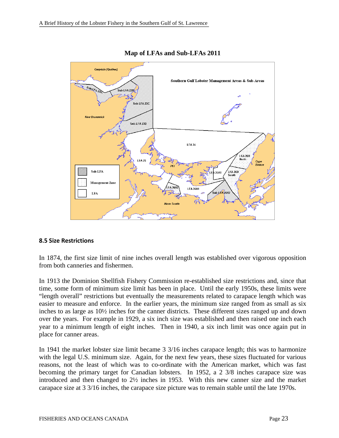



### **8.5 Size Restrictions**

In 1874, the first size limit of nine inches overall length was established over vigorous opposition from both canneries and fishermen.

In 1913 the Dominion Shellfish Fishery Commission re-established size restrictions and, since that time, some form of minimum size limit has been in place. Until the early 1950s, these limits were "length overall" restrictions but eventually the measurements related to carapace length which was easier to measure and enforce. In the earlier years, the minimum size ranged from as small as six inches to as large as 10½ inches for the canner districts. These different sizes ranged up and down over the years. For example in 1929, a six inch size was established and then raised one inch each year to a minimum length of eight inches. Then in 1940, a six inch limit was once again put in place for canner areas.

In 1941 the market lobster size limit became 3 3/16 inches carapace length; this was to harmonize with the legal U.S. minimum size. Again, for the next few years, these sizes fluctuated for various reasons, not the least of which was to co-ordinate with the American market, which was fast becoming the primary target for Canadian lobsters. In 1952, a 2 3/8 inches carapace size was introduced and then changed to 2½ inches in 1953. With this new canner size and the market carapace size at 3 3/16 inches, the carapace size picture was to remain stable until the late 1970s.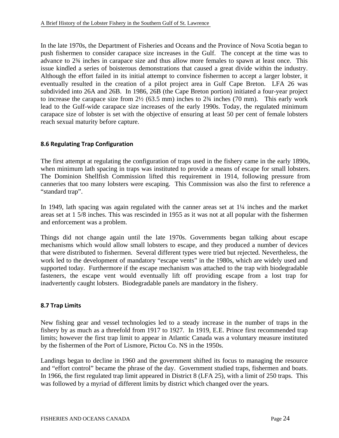In the late 1970s, the Department of Fisheries and Oceans and the Province of Nova Scotia began to push fishermen to consider carapace size increases in the Gulf. The concept at the time was to advance to 2¾ inches in carapace size and thus allow more females to spawn at least once. This issue kindled a series of boisterous demonstrations that caused a great divide within the industry. Although the effort failed in its initial attempt to convince fishermen to accept a larger lobster, it eventually resulted in the creation of a pilot project area in Gulf Cape Breton. LFA 26 was subdivided into 26A and 26B. In 1986, 26B (the Cape Breton portion) initiated a four-year project to increase the carapace size from  $2\frac{1}{2}$  (63.5 mm) inches to  $2\frac{3}{4}$  inches (70 mm). This early work lead to the Gulf-wide carapace size increases of the early 1990s. Today, the regulated minimum carapace size of lobster is set with the objective of ensuring at least 50 per cent of female lobsters reach sexual maturity before capture.

### **8.6 Regulating Trap Configuration**

The first attempt at regulating the configuration of traps used in the fishery came in the early 1890s, when minimum lath spacing in traps was instituted to provide a means of escape for small lobsters. The Dominion Shellfish Commission lifted this requirement in 1914, following pressure from canneries that too many lobsters were escaping. This Commission was also the first to reference a "standard trap".

In 1949, lath spacing was again regulated with the canner areas set at 1¼ inches and the market areas set at 1 5/8 inches. This was rescinded in 1955 as it was not at all popular with the fishermen and enforcement was a problem.

Things did not change again until the late 1970s. Governments began talking about escape mechanisms which would allow small lobsters to escape, and they produced a number of devices that were distributed to fishermen. Several different types were tried but rejected. Nevertheless, the work led to the development of mandatory "escape vents" in the 1980s, which are widely used and supported today. Furthermore if the escape mechanism was attached to the trap with biodegradable fasteners, the escape vent would eventually lift off providing escape from a lost trap for inadvertently caught lobsters. Biodegradable panels are mandatory in the fishery.

### **8.7 Trap Limits**

New fishing gear and vessel technologies led to a steady increase in the number of traps in the fishery by as much as a threefold from 1917 to 1927. In 1919, E.E. Prince first recommended trap limits; however the first trap limit to appear in Atlantic Canada was a voluntary measure instituted by the fishermen of the Port of Lismore, Pictou Co. NS in the 1950s.

Landings began to decline in 1960 and the government shifted its focus to managing the resource and "effort control" became the phrase of the day. Government studied traps, fishermen and boats. In 1966, the first regulated trap limit appeared in District 8 (LFA 25), with a limit of 250 traps. This was followed by a myriad of different limits by district which changed over the years.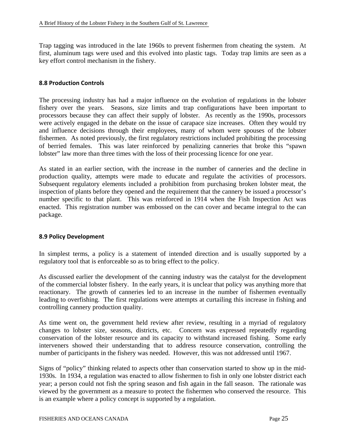Trap tagging was introduced in the late 1960s to prevent fishermen from cheating the system. At first, aluminum tags were used and this evolved into plastic tags. Today trap limits are seen as a key effort control mechanism in the fishery.

### **8.8 Production Controls**

The processing industry has had a major influence on the evolution of regulations in the lobster fishery over the years. Seasons, size limits and trap configurations have been important to processors because they can affect their supply of lobster. As recently as the 1990s, processors were actively engaged in the debate on the issue of carapace size increases. Often they would try and influence decisions through their employees, many of whom were spouses of the lobster fishermen. As noted previously, the first regulatory restrictions included prohibiting the processing of berried females. This was later reinforced by penalizing canneries that broke this "spawn lobster" law more than three times with the loss of their processing licence for one year.

As stated in an earlier section, with the increase in the number of canneries and the decline in production quality, attempts were made to educate and regulate the activities of processors. Subsequent regulatory elements included a prohibition from purchasing broken lobster meat, the inspection of plants before they opened and the requirement that the cannery be issued a processor's number specific to that plant. This was reinforced in 1914 when the Fish Inspection Act was enacted. This registration number was embossed on the can cover and became integral to the can package.

### **8.9 Policy Development**

In simplest terms, a policy is a statement of intended direction and is usually supported by a regulatory tool that is enforceable so as to bring effect to the policy.

As discussed earlier the development of the canning industry was the catalyst for the development of the commercial lobster fishery. In the early years, it is unclear that policy was anything more that reactionary. The growth of canneries led to an increase in the number of fishermen eventually leading to overfishing. The first regulations were attempts at curtailing this increase in fishing and controlling cannery production quality.

As time went on, the government held review after review, resulting in a myriad of regulatory changes to lobster size, seasons, districts, etc. Concern was expressed repeatedly regarding conservation of the lobster resource and its capacity to withstand increased fishing. Some early interveners showed their understanding that to address resource conservation, controlling the number of participants in the fishery was needed. However, this was not addressed until 1967.

Signs of "policy" thinking related to aspects other than conservation started to show up in the mid-1930s. In 1934, a regulation was enacted to allow fishermen to fish in only one lobster district each year; a person could not fish the spring season and fish again in the fall season. The rationale was viewed by the government as a measure to protect the fishermen who conserved the resource. This is an example where a policy concept is supported by a regulation.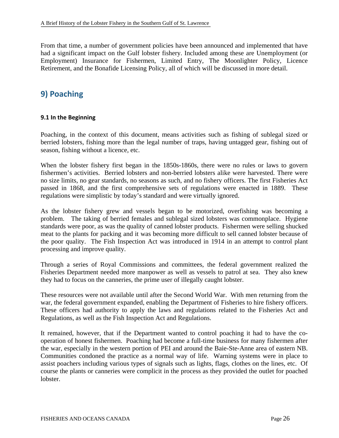From that time, a number of government policies have been announced and implemented that have had a significant impact on the Gulf lobster fishery. Included among these are Unemployment (or Employment) Insurance for Fishermen, Limited Entry, The Moonlighter Policy, Licence Retirement, and the Bonafide Licensing Policy, all of which will be discussed in more detail.

### **9) Poaching**

#### **9.1 In the Beginning**

Poaching, in the context of this document, means activities such as fishing of sublegal sized or berried lobsters, fishing more than the legal number of traps, having untagged gear, fishing out of season, fishing without a licence, etc.

When the lobster fishery first began in the 1850s-1860s, there were no rules or laws to govern fishermen's activities. Berried lobsters and non-berried lobsters alike were harvested. There were no size limits, no gear standards, no seasons as such, and no fishery officers. The first Fisheries Act passed in 1868, and the first comprehensive sets of regulations were enacted in 1889. These regulations were simplistic by today's standard and were virtually ignored.

As the lobster fishery grew and vessels began to be motorized, overfishing was becoming a problem. The taking of berried females and sublegal sized lobsters was commonplace. Hygiene standards were poor, as was the quality of canned lobster products. Fishermen were selling shucked meat to the plants for packing and it was becoming more difficult to sell canned lobster because of the poor quality. The Fish Inspection Act was introduced in 1914 in an attempt to control plant processing and improve quality.

Through a series of Royal Commissions and committees, the federal government realized the Fisheries Department needed more manpower as well as vessels to patrol at sea. They also knew they had to focus on the canneries, the prime user of illegally caught lobster.

These resources were not available until after the Second World War. With men returning from the war, the federal government expanded, enabling the Department of Fisheries to hire fishery officers. These officers had authority to apply the laws and regulations related to the Fisheries Act and Regulations, as well as the Fish Inspection Act and Regulations.

It remained, however, that if the Department wanted to control poaching it had to have the cooperation of honest fishermen. Poaching had become a full-time business for many fishermen after the war, especially in the western portion of PEI and around the Baie-Ste-Anne area of eastern NB. Communities condoned the practice as a normal way of life. Warning systems were in place to assist poachers including various types of signals such as lights, flags, clothes on the lines, etc. Of course the plants or canneries were complicit in the process as they provided the outlet for poached lobster.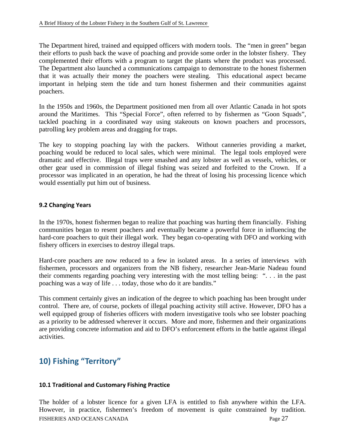The Department hired, trained and equipped officers with modern tools. The "men in green" began their efforts to push back the wave of poaching and provide some order in the lobster fishery. They complemented their efforts with a program to target the plants where the product was processed. The Department also launched a communications campaign to demonstrate to the honest fishermen that it was actually their money the poachers were stealing. This educational aspect became important in helping stem the tide and turn honest fishermen and their communities against poachers.

In the 1950s and 1960s, the Department positioned men from all over Atlantic Canada in hot spots around the Maritimes. This "Special Force", often referred to by fishermen as "Goon Squads", tackled poaching in a coordinated way using stakeouts on known poachers and processors, patrolling key problem areas and dragging for traps.

The key to stopping poaching lay with the packers. Without canneries providing a market, poaching would be reduced to local sales, which were minimal. The legal tools employed were dramatic and effective. Illegal traps were smashed and any lobster as well as vessels, vehicles, or other gear used in commission of illegal fishing was seized and forfeited to the Crown. If a processor was implicated in an operation, he had the threat of losing his processing licence which would essentially put him out of business.

### **9.2 Changing Years**

In the 1970s, honest fishermen began to realize that poaching was hurting them financially. Fishing communities began to resent poachers and eventually became a powerful force in influencing the hard-core poachers to quit their illegal work. They began co-operating with DFO and working with fishery officers in exercises to destroy illegal traps.

Hard-core poachers are now reduced to a few in isolated areas. In a series of interviews with fishermen, processors and organizers from the NB fishery, researcher Jean-Marie Nadeau found their comments regarding poaching very interesting with the most telling being: ". . . in the past poaching was a way of life . . . today, those who do it are bandits."

This comment certainly gives an indication of the degree to which poaching has been brought under control. There are, of course, pockets of illegal poaching activity still active. However, DFO has a well equipped group of fisheries officers with modern investigative tools who see lobster poaching as a priority to be addressed wherever it occurs. More and more, fishermen and their organizations are providing concrete information and aid to DFO's enforcement efforts in the battle against illegal activities.

### **10) Fishing "Territory"**

### **10.1 Traditional and Customary Fishing Practice**

FISHERIES AND OCEANS CANADA Page 27 The holder of a lobster licence for a given LFA is entitled to fish anywhere within the LFA. However, in practice, fishermen's freedom of movement is quite constrained by tradition.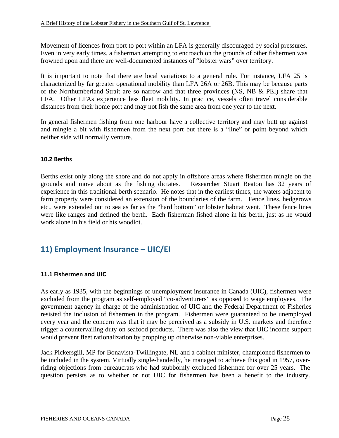Movement of licences from port to port within an LFA is generally discouraged by social pressures. Even in very early times, a fisherman attempting to encroach on the grounds of other fishermen was frowned upon and there are well-documented instances of "lobster wars" over territory.

It is important to note that there are local variations to a general rule. For instance, LFA 25 is characterized by far greater operational mobility than LFA 26A or 26B. This may be because parts of the Northumberland Strait are so narrow and that three provinces (NS, NB & PEI) share that LFA. Other LFAs experience less fleet mobility. In practice, vessels often travel considerable distances from their home port and may not fish the same area from one year to the next.

In general fishermen fishing from one harbour have a collective territory and may butt up against and mingle a bit with fishermen from the next port but there is a "line" or point beyond which neither side will normally venture.

### **10.2 Berths**

Berths exist only along the shore and do not apply in offshore areas where fishermen mingle on the grounds and move about as the fishing dictates. Researcher Stuart Beaton has 32 years of experience in this traditional berth scenario. He notes that in the earliest times, the waters adjacent to farm property were considered an extension of the boundaries of the farm. Fence lines, hedgerows etc., were extended out to sea as far as the "hard bottom" or lobster habitat went. These fence lines were like ranges and defined the berth. Each fisherman fished alone in his berth, just as he would work alone in his field or his woodlot.

### **11) Employment Insurance – UIC/EI**

### **11.1 Fishermen and UIC**

As early as 1935, with the beginnings of unemployment insurance in Canada (UIC), fishermen were excluded from the program as self-employed "co-adventurers" as opposed to wage employees. The government agency in charge of the administration of UIC and the Federal Department of Fisheries resisted the inclusion of fishermen in the program. Fishermen were guaranteed to be unemployed every year and the concern was that it may be perceived as a subsidy in U.S. markets and therefore trigger a countervailing duty on seafood products. There was also the view that UIC income support would prevent fleet rationalization by propping up otherwise non-viable enterprises.

Jack Pickersgill, MP for Bonavista-Twillingate, NL and a cabinet minister, championed fishermen to be included in the system. Virtually single-handedly, he managed to achieve this goal in 1957, overriding objections from bureaucrats who had stubbornly excluded fishermen for over 25 years. The question persists as to whether or not UIC for fishermen has been a benefit to the industry.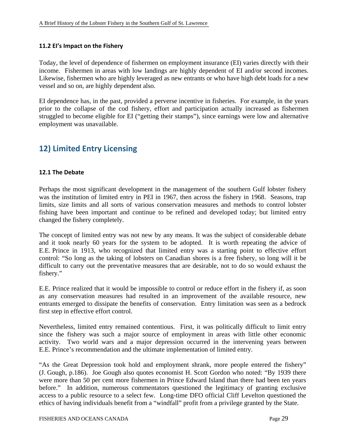### **11.2 EI's Impact on the Fishery**

Today, the level of dependence of fishermen on employment insurance (EI) varies directly with their income. Fishermen in areas with low landings are highly dependent of EI and/or second incomes. Likewise, fishermen who are highly leveraged as new entrants or who have high debt loads for a new vessel and so on, are highly dependent also.

EI dependence has, in the past, provided a perverse incentive in fisheries. For example, in the years prior to the collapse of the cod fishery, effort and participation actually increased as fishermen struggled to become eligible for EI ("getting their stamps"), since earnings were low and alternative employment was unavailable.

### **12) Limited Entry Licensing**

### **12.1 The Debate**

Perhaps the most significant development in the management of the southern Gulf lobster fishery was the institution of limited entry in PEI in 1967, then across the fishery in 1968. Seasons, trap limits, size limits and all sorts of various conservation measures and methods to control lobster fishing have been important and continue to be refined and developed today; but limited entry changed the fishery completely.

The concept of limited entry was not new by any means. It was the subject of considerable debate and it took nearly 60 years for the system to be adopted. It is worth repeating the advice of E.E. Prince in 1913, who recognized that limited entry was a starting point to effective effort control: "So long as the taking of lobsters on Canadian shores is a free fishery, so long will it be difficult to carry out the preventative measures that are desirable, not to do so would exhaust the fishery."

E.E. Prince realized that it would be impossible to control or reduce effort in the fishery if, as soon as any conservation measures had resulted in an improvement of the available resource, new entrants emerged to dissipate the benefits of conservation. Entry limitation was seen as a bedrock first step in effective effort control.

Nevertheless, limited entry remained contentious. First, it was politically difficult to limit entry since the fishery was such a major source of employment in areas with little other economic activity. Two world wars and a major depression occurred in the intervening years between E.E. Prince's recommendation and the ultimate implementation of limited entry.

"As the Great Depression took hold and employment shrank, more people entered the fishery" (J. Gough, p.186). Joe Gough also quotes economist H. Scott Gordon who noted: "By 1939 there were more than 50 per cent more fishermen in Prince Edward Island than there had been ten years before." In addition, numerous commentators questioned the legitimacy of granting exclusive access to a public resource to a select few. Long-time DFO official Cliff Levelton questioned the ethics of having individuals benefit from a "windfall" profit from a privilege granted by the State.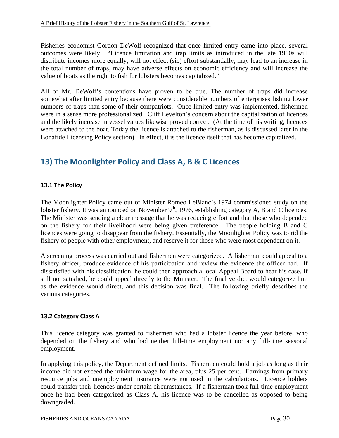Fisheries economist Gordon DeWolf recognized that once limited entry came into place, several outcomes were likely. "Licence limitation and trap limits as introduced in the late 1960s will distribute incomes more equally, will not effect (sic) effort substantially, may lead to an increase in the total number of traps, may have adverse effects on economic efficiency and will increase the value of boats as the right to fish for lobsters becomes capitalized."

All of Mr. DeWolf's contentions have proven to be true. The number of traps did increase somewhat after limited entry because there were considerable numbers of enterprises fishing lower numbers of traps than some of their compatriots. Once limited entry was implemented, fishermen were in a sense more professionalized. Cliff Levelton's concern about the capitalization of licences and the likely increase in vessel values likewise proved correct. (At the time of his writing, licences were attached to the boat. Today the licence is attached to the fisherman, as is discussed later in the Bonafide Licensing Policy section). In effect, it is the licence itself that has become capitalized.

### **13) The Moonlighter Policy and Class A, B & C Licences**

### **13.1 The Policy**

The Moonlighter Policy came out of Minister Romeo LeBlanc's 1974 commissioned study on the lobster fishery. It was announced on November 9<sup>th</sup>, 1976, establishing category A, B and C licences. The Minister was sending a clear message that he was reducing effort and that those who depended on the fishery for their livelihood were being given preference. The people holding B and C licences were going to disappear from the fishery. Essentially, the Moonlighter Policy was to rid the fishery of people with other employment, and reserve it for those who were most dependent on it.

A screening process was carried out and fishermen were categorized. A fisherman could appeal to a fishery officer, produce evidence of his participation and review the evidence the officer had. If dissatisfied with his classification, he could then approach a local Appeal Board to hear his case. If still not satisfied, he could appeal directly to the Minister. The final verdict would categorize him as the evidence would direct, and this decision was final. The following briefly describes the various categories.

### **13.2 Category Class A**

This licence category was granted to fishermen who had a lobster licence the year before, who depended on the fishery and who had neither full-time employment nor any full-time seasonal employment.

In applying this policy, the Department defined limits. Fishermen could hold a job as long as their income did not exceed the minimum wage for the area, plus 25 per cent. Earnings from primary resource jobs and unemployment insurance were not used in the calculations. Licence holders could transfer their licences under certain circumstances. If a fisherman took full-time employment once he had been categorized as Class A, his licence was to be cancelled as opposed to being downgraded.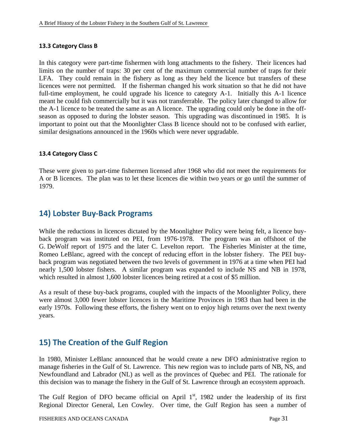### **13.3 Category Class B**

In this category were part-time fishermen with long attachments to the fishery. Their licences had limits on the number of traps: 30 per cent of the maximum commercial number of traps for their LFA. They could remain in the fishery as long as they held the licence but transfers of these licences were not permitted. If the fisherman changed his work situation so that he did not have full-time employment, he could upgrade his licence to category A-1. Initially this A-1 licence meant he could fish commercially but it was not transferrable. The policy later changed to allow for the A-1 licence to be treated the same as an A licence. The upgrading could only be done in the offseason as opposed to during the lobster season. This upgrading was discontinued in 1985. It is important to point out that the Moonlighter Class B licence should not to be confused with earlier, similar designations announced in the 1960s which were never upgradable.

### **13.4 Category Class C**

These were given to part-time fishermen licensed after 1968 who did not meet the requirements for A or B licences. The plan was to let these licences die within two years or go until the summer of 1979.

### **14) Lobster Buy‐Back Programs**

While the reductions in licences dictated by the Moonlighter Policy were being felt, a licence buyback program was instituted on PEI, from 1976-1978. The program was an offshoot of the G. DeWolf report of 1975 and the later C. Levelton report. The Fisheries Minister at the time, Romeo LeBlanc, agreed with the concept of reducing effort in the lobster fishery. The PEI buyback program was negotiated between the two levels of government in 1976 at a time when PEI had nearly 1,500 lobster fishers. A similar program was expanded to include NS and NB in 1978, which resulted in almost 1,600 lobster licences being retired at a cost of \$5 million.

As a result of these buy-back programs, coupled with the impacts of the Moonlighter Policy, there were almost 3,000 fewer lobster licences in the Maritime Provinces in 1983 than had been in the early 1970s. Following these efforts, the fishery went on to enjoy high returns over the next twenty years.

### **15) The Creation of the Gulf Region**

In 1980, Minister LeBlanc announced that he would create a new DFO administrative region to manage fisheries in the Gulf of St. Lawrence. This new region was to include parts of NB, NS, and Newfoundland and Labrador (NL) as well as the provinces of Quebec and PEI. The rationale for this decision was to manage the fishery in the Gulf of St. Lawrence through an ecosystem approach.

The Gulf Region of DFO became official on April  $1<sup>st</sup>$ , 1982 under the leadership of its first Regional Director General, Len Cowley. Over time, the Gulf Region has seen a number of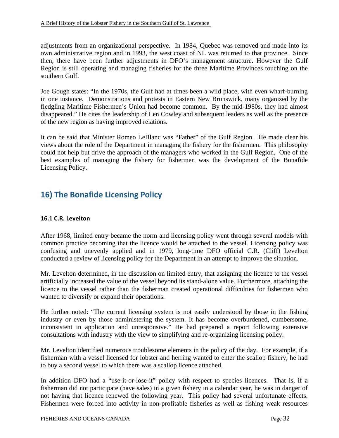adjustments from an organizational perspective. In 1984, Quebec was removed and made into its own administrative region and in 1993, the west coast of NL was returned to that province. Since then, there have been further adjustments in DFO's management structure. However the Gulf Region is still operating and managing fisheries for the three Maritime Provinces touching on the southern Gulf.

Joe Gough states: "In the 1970s, the Gulf had at times been a wild place, with even wharf-burning in one instance. Demonstrations and protests in Eastern New Brunswick, many organized by the fledgling Maritime Fishermen's Union had become common. By the mid-1980s, they had almost disappeared." He cites the leadership of Len Cowley and subsequent leaders as well as the presence of the new region as having improved relations.

It can be said that Minister Romeo LeBlanc was "Father" of the Gulf Region. He made clear his views about the role of the Department in managing the fishery for the fishermen. This philosophy could not help but drive the approach of the managers who worked in the Gulf Region. One of the best examples of managing the fishery for fishermen was the development of the Bonafide Licensing Policy.

### **16) The Bonafide Licensing Policy**

### **16.1 C.R. Levelton**

After 1968, limited entry became the norm and licensing policy went through several models with common practice becoming that the licence would be attached to the vessel. Licensing policy was confusing and unevenly applied and in 1979, long-time DFO official C.R. (Cliff) Levelton conducted a review of licensing policy for the Department in an attempt to improve the situation.

Mr. Levelton determined, in the discussion on limited entry, that assigning the licence to the vessel artificially increased the value of the vessel beyond its stand-alone value. Furthermore, attaching the licence to the vessel rather than the fisherman created operational difficulties for fishermen who wanted to diversify or expand their operations.

He further noted: "The current licensing system is not easily understood by those in the fishing industry or even by those administering the system. It has become overburdened, cumbersome, inconsistent in application and unresponsive." He had prepared a report following extensive consultations with industry with the view to simplifying and re-organizing licensing policy.

Mr. Levelton identified numerous troublesome elements in the policy of the day. For example, if a fisherman with a vessel licensed for lobster and herring wanted to enter the scallop fishery, he had to buy a second vessel to which there was a scallop licence attached.

In addition DFO had a "use-it-or-lose-it" policy with respect to species licences. That is, if a fisherman did not participate (have sales) in a given fishery in a calendar year, he was in danger of not having that licence renewed the following year. This policy had several unfortunate effects. Fishermen were forced into activity in non-profitable fisheries as well as fishing weak resources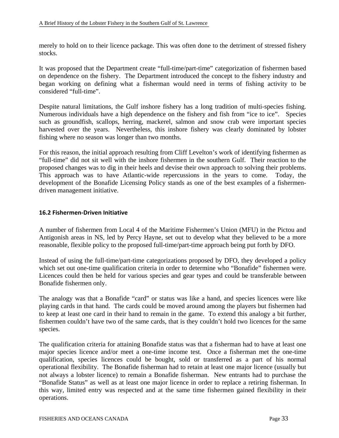merely to hold on to their licence package. This was often done to the detriment of stressed fishery stocks.

It was proposed that the Department create "full-time/part-time" categorization of fishermen based on dependence on the fishery. The Department introduced the concept to the fishery industry and began working on defining what a fisherman would need in terms of fishing activity to be considered "full-time".

Despite natural limitations, the Gulf inshore fishery has a long tradition of multi-species fishing. Numerous individuals have a high dependence on the fishery and fish from "ice to ice". Species such as groundfish, scallops, herring, mackerel, salmon and snow crab were important species harvested over the years. Nevertheless, this inshore fishery was clearly dominated by lobster fishing where no season was longer than two months.

For this reason, the initial approach resulting from Cliff Levelton's work of identifying fishermen as "full-time" did not sit well with the inshore fishermen in the southern Gulf. Their reaction to the proposed changes was to dig in their heels and devise their own approach to solving their problems. This approach was to have Atlantic-wide repercussions in the years to come. Today, the development of the Bonafide Licensing Policy stands as one of the best examples of a fishermendriven management initiative.

### **16.2 Fishermen‐Driven Initiative**

A number of fishermen from Local 4 of the Maritime Fishermen's Union (MFU) in the Pictou and Antigonish areas in NS, led by Percy Hayne, set out to develop what they believed to be a more reasonable, flexible policy to the proposed full-time/part-time approach being put forth by DFO.

Instead of using the full-time/part-time categorizations proposed by DFO, they developed a policy which set out one-time qualification criteria in order to determine who "Bonafide" fishermen were. Licences could then be held for various species and gear types and could be transferable between Bonafide fishermen only.

The analogy was that a Bonafide "card" or status was like a hand, and species licences were like playing cards in that hand. The cards could be moved around among the players but fishermen had to keep at least one card in their hand to remain in the game. To extend this analogy a bit further, fishermen couldn't have two of the same cards, that is they couldn't hold two licences for the same species.

The qualification criteria for attaining Bonafide status was that a fisherman had to have at least one major species licence and/or meet a one-time income test. Once a fisherman met the one-time qualification, species licences could be bought, sold or transferred as a part of his normal operational flexibility. The Bonafide fisherman had to retain at least one major licence (usually but not always a lobster licence) to remain a Bonafide fisherman. New entrants had to purchase the "Bonafide Status" as well as at least one major licence in order to replace a retiring fisherman. In this way, limited entry was respected and at the same time fishermen gained flexibility in their operations.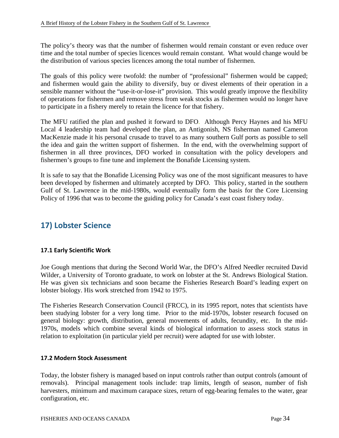The policy's theory was that the number of fishermen would remain constant or even reduce over time and the total number of species licences would remain constant. What would change would be the distribution of various species licences among the total number of fishermen.

The goals of this policy were twofold: the number of "professional" fishermen would be capped; and fishermen would gain the ability to diversify, buy or divest elements of their operation in a sensible manner without the "use-it-or-lose-it" provision. This would greatly improve the flexibility of operations for fishermen and remove stress from weak stocks as fishermen would no longer have to participate in a fishery merely to retain the licence for that fishery.

The MFU ratified the plan and pushed it forward to DFO. Although Percy Haynes and his MFU Local 4 leadership team had developed the plan, an Antigonish, NS fisherman named Cameron MacKenzie made it his personal crusade to travel to as many southern Gulf ports as possible to sell the idea and gain the written support of fishermen. In the end, with the overwhelming support of fishermen in all three provinces, DFO worked in consultation with the policy developers and fishermen's groups to fine tune and implement the Bonafide Licensing system.

It is safe to say that the Bonafide Licensing Policy was one of the most significant measures to have been developed by fishermen and ultimately accepted by DFO. This policy, started in the southern Gulf of St. Lawrence in the mid-1980s, would eventually form the basis for the Core Licensing Policy of 1996 that was to become the guiding policy for Canada's east coast fishery today.

### **17) Lobster Science**

### **17.1 Early Scientific Work**

Joe Gough mentions that during the Second World War, the DFO's Alfred Needler recruited David Wilder, a University of Toronto graduate, to work on lobster at the St. Andrews Biological Station. He was given six technicians and soon became the Fisheries Research Board's leading expert on lobster biology. His work stretched from 1942 to 1975.

The Fisheries Research Conservation Council (FRCC), in its 1995 report, notes that scientists have been studying lobster for a very long time. Prior to the mid-1970s, lobster research focused on general biology: growth, distribution, general movements of adults, fecundity, etc. In the mid-1970s, models which combine several kinds of biological information to assess stock status in relation to exploitation (in particular yield per recruit) were adapted for use with lobster.

### **17.2 Modern Stock Assessment**

Today, the lobster fishery is managed based on input controls rather than output controls (amount of removals). Principal management tools include: trap limits, length of season, number of fish harvesters, minimum and maximum carapace sizes, return of egg-bearing females to the water, gear configuration, etc.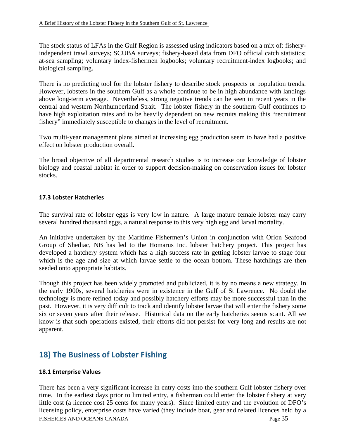The stock status of LFAs in the Gulf Region is assessed using indicators based on a mix of: fisheryindependent trawl surveys; SCUBA surveys; fishery-based data from DFO official catch statistics; at-sea sampling; voluntary index-fishermen logbooks; voluntary recruitment-index logbooks; and biological sampling.

There is no predicting tool for the lobster fishery to describe stock prospects or population trends. However, lobsters in the southern Gulf as a whole continue to be in high abundance with landings above long-term average. Nevertheless, strong negative trends can be seen in recent years in the central and western Northumberland Strait. The lobster fishery in the southern Gulf continues to have high exploitation rates and to be heavily dependent on new recruits making this "recruitment fishery" immediately susceptible to changes in the level of recruitment.

Two multi-year management plans aimed at increasing egg production seem to have had a positive effect on lobster production overall.

The broad objective of all departmental research studies is to increase our knowledge of lobster biology and coastal habitat in order to support decision-making on conservation issues for lobster stocks.

### **17.3 Lobster Hatcheries**

The survival rate of lobster eggs is very low in nature. A large mature female lobster may carry several hundred thousand eggs, a natural response to this very high egg and larval mortality.

An initiative undertaken by the Maritime Fishermen's Union in conjunction with Orion Seafood Group of Shediac, NB has led to the Homarus Inc. lobster hatchery project. This project has developed a hatchery system which has a high success rate in getting lobster larvae to stage four which is the age and size at which larvae settle to the ocean bottom. These hatchlings are then seeded onto appropriate habitats.

Though this project has been widely promoted and publicized, it is by no means a new strategy. In the early 1900s, several hatcheries were in existence in the Gulf of St Lawrence. No doubt the technology is more refined today and possibly hatchery efforts may be more successful than in the past. However, it is very difficult to track and identify lobster larvae that will enter the fishery some six or seven years after their release. Historical data on the early hatcheries seems scant. All we know is that such operations existed, their efforts did not persist for very long and results are not apparent.

### **18) The Business of Lobster Fishing**

### **18.1 Enterprise Values**

FISHERIES AND OCEANS CANADA Page 35 There has been a very significant increase in entry costs into the southern Gulf lobster fishery over time. In the earliest days prior to limited entry, a fisherman could enter the lobster fishery at very little cost (a licence cost 25 cents for many years). Since limited entry and the evolution of DFO's licensing policy, enterprise costs have varied (they include boat, gear and related licences held by a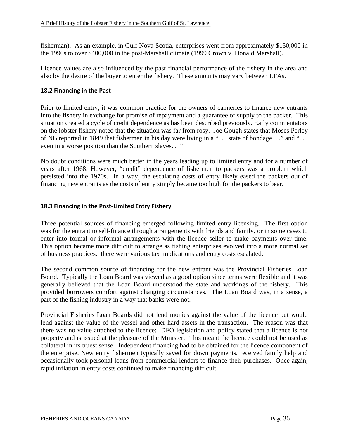fisherman). As an example, in Gulf Nova Scotia, enterprises went from approximately \$150,000 in the 1990s to over \$400,000 in the post-Marshall climate (1999 Crown v. Donald Marshall).

Licence values are also influenced by the past financial performance of the fishery in the area and also by the desire of the buyer to enter the fishery. These amounts may vary between LFAs.

### **18.2 Financing in the Past**

Prior to limited entry, it was common practice for the owners of canneries to finance new entrants into the fishery in exchange for promise of repayment and a guarantee of supply to the packer. This situation created a cycle of credit dependence as has been described previously. Early commentators on the lobster fishery noted that the situation was far from rosy. Joe Gough states that Moses Perley of NB reported in 1849 that fishermen in his day were living in a "... state of bondage..." and "... even in a worse position than the Southern slaves. . ."

No doubt conditions were much better in the years leading up to limited entry and for a number of years after 1968. However, "credit" dependence of fishermen to packers was a problem which persisted into the 1970s. In a way, the escalating costs of entry likely eased the packers out of financing new entrants as the costs of entry simply became too high for the packers to bear.

#### **18.3 Financing in the Post‐Limited Entry Fishery**

Three potential sources of financing emerged following limited entry licensing. The first option was for the entrant to self-finance through arrangements with friends and family, or in some cases to enter into formal or informal arrangements with the licence seller to make payments over time. This option became more difficult to arrange as fishing enterprises evolved into a more normal set of business practices: there were various tax implications and entry costs escalated.

The second common source of financing for the new entrant was the Provincial Fisheries Loan Board. Typically the Loan Board was viewed as a good option since terms were flexible and it was generally believed that the Loan Board understood the state and workings of the fishery. This provided borrowers comfort against changing circumstances. The Loan Board was, in a sense, a part of the fishing industry in a way that banks were not.

Provincial Fisheries Loan Boards did not lend monies against the value of the licence but would lend against the value of the vessel and other hard assets in the transaction. The reason was that there was no value attached to the licence: DFO legislation and policy stated that a licence is not property and is issued at the pleasure of the Minister. This meant the licence could not be used as collateral in its truest sense. Independent financing had to be obtained for the licence component of the enterprise. New entry fishermen typically saved for down payments, received family help and occasionally took personal loans from commercial lenders to finance their purchases. Once again, rapid inflation in entry costs continued to make financing difficult.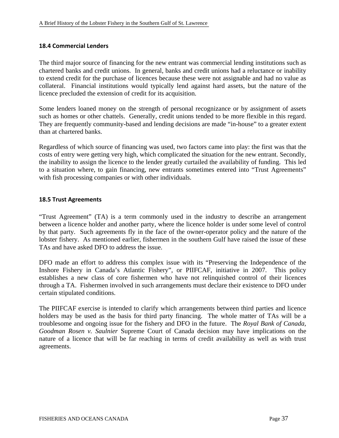### **18.4 Commercial Lenders**

The third major source of financing for the new entrant was commercial lending institutions such as chartered banks and credit unions. In general, banks and credit unions had a reluctance or inability to extend credit for the purchase of licences because these were not assignable and had no value as collateral. Financial institutions would typically lend against hard assets, but the nature of the licence precluded the extension of credit for its acquisition.

Some lenders loaned money on the strength of personal recognizance or by assignment of assets such as homes or other chattels. Generally, credit unions tended to be more flexible in this regard. They are frequently community-based and lending decisions are made "in-house" to a greater extent than at chartered banks.

Regardless of which source of financing was used, two factors came into play: the first was that the costs of entry were getting very high, which complicated the situation for the new entrant. Secondly, the inability to assign the licence to the lender greatly curtailed the availability of funding. This led to a situation where, to gain financing, new entrants sometimes entered into "Trust Agreements" with fish processing companies or with other individuals.

### **18.5 Trust Agreements**

"Trust Agreement" (TA) is a term commonly used in the industry to describe an arrangement between a licence holder and another party, where the licence holder is under some level of control by that party. Such agreements fly in the face of the owner-operator policy and the nature of the lobster fishery. As mentioned earlier, fishermen in the southern Gulf have raised the issue of these TAs and have asked DFO to address the issue.

DFO made an effort to address this complex issue with its "Preserving the Independence of the Inshore Fishery in Canada's Atlantic Fishery", or PIIFCAF, initiative in 2007. This policy establishes a new class of core fishermen who have not relinquished control of their licences through a TA. Fishermen involved in such arrangements must declare their existence to DFO under certain stipulated conditions.

The PIIFCAF exercise is intended to clarify which arrangements between third parties and licence holders may be used as the basis for third party financing. The whole matter of TAs will be a troublesome and ongoing issue for the fishery and DFO in the future. The *Royal Bank of Canada, Goodman Rosen v. Saulnier* Supreme Court of Canada decision may have implications on the nature of a licence that will be far reaching in terms of credit availability as well as with trust agreements.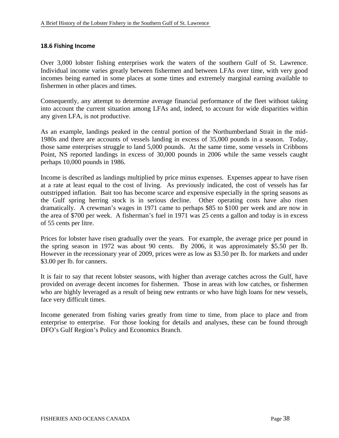### **18.6 Fishing Income**

Over 3,000 lobster fishing enterprises work the waters of the southern Gulf of St. Lawrence. Individual income varies greatly between fishermen and between LFAs over time, with very good incomes being earned in some places at some times and extremely marginal earning available to fishermen in other places and times.

Consequently, any attempt to determine average financial performance of the fleet without taking into account the current situation among LFAs and, indeed, to account for wide disparities within any given LFA, is not productive.

As an example, landings peaked in the central portion of the Northumberland Strait in the mid-1980s and there are accounts of vessels landing in excess of 35,000 pounds in a season. Today, those same enterprises struggle to land 5,000 pounds. At the same time, some vessels in Cribbons Point, NS reported landings in excess of 30,000 pounds in 2006 while the same vessels caught perhaps 10,000 pounds in 1986.

Income is described as landings multiplied by price minus expenses. Expenses appear to have risen at a rate at least equal to the cost of living. As previously indicated, the cost of vessels has far outstripped inflation. Bait too has become scarce and expensive especially in the spring seasons as the Gulf spring herring stock is in serious decline. Other operating costs have also risen dramatically. A crewman's wages in 1971 came to perhaps \$85 to \$100 per week and are now in the area of \$700 per week. A fisherman's fuel in 1971 was 25 cents a gallon and today is in excess of 55 cents per litre.

Prices for lobster have risen gradually over the years. For example, the average price per pound in the spring season in 1972 was about 90 cents. By 2006, it was approximately \$5.50 per lb. However in the recessionary year of 2009, prices were as low as \$3.50 per lb. for markets and under \$3.00 per lb. for canners.

It is fair to say that recent lobster seasons, with higher than average catches across the Gulf, have provided on average decent incomes for fishermen. Those in areas with low catches, or fishermen who are highly leveraged as a result of being new entrants or who have high loans for new vessels, face very difficult times.

Income generated from fishing varies greatly from time to time, from place to place and from enterprise to enterprise. For those looking for details and analyses, these can be found through DFO's Gulf Region's Policy and Economics Branch.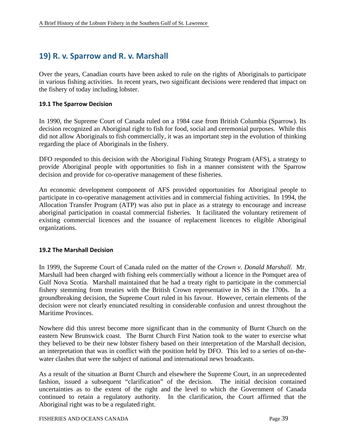### **19) R. v. Sparrow and R. v. Marshall**

Over the years, Canadian courts have been asked to rule on the rights of Aboriginals to participate in various fishing activities. In recent years, two significant decisions were rendered that impact on the fishery of today including lobster.

#### **19.1 The Sparrow Decision**

In 1990, the Supreme Court of Canada ruled on a 1984 case from British Columbia (Sparrow). Its decision recognized an Aboriginal right to fish for food, social and ceremonial purposes. While this did not allow Aboriginals to fish commercially, it was an important step in the evolution of thinking regarding the place of Aboriginals in the fishery.

DFO responded to this decision with the Aboriginal Fishing Strategy Program (AFS), a strategy to provide Aboriginal people with opportunities to fish in a manner consistent with the Sparrow decision and provide for co-operative management of these fisheries.

An economic development component of AFS provided opportunities for Aboriginal people to participate in co-operative management activities and in commercial fishing activities. In 1994, the Allocation Transfer Program (ATP) was also put in place as a strategy to encourage and increase aboriginal participation in coastal commercial fisheries. It facilitated the voluntary retirement of existing commercial licences and the issuance of replacement licences to eligible Aboriginal organizations.

#### **19.2 The Marshall Decision**

In 1999, the Supreme Court of Canada ruled on the matter of the *Crown v. Donald Marshall*. Mr. Marshall had been charged with fishing eels commercially without a licence in the Pomquet area of Gulf Nova Scotia. Marshall maintained that he had a treaty right to participate in the commercial fishery stemming from treaties with the British Crown representative in NS in the 1700s. In a groundbreaking decision, the Supreme Court ruled in his favour. However, certain elements of the decision were not clearly enunciated resulting in considerable confusion and unrest throughout the Maritime Provinces.

Nowhere did this unrest become more significant than in the community of Burnt Church on the eastern New Brunswick coast. The Burnt Church First Nation took to the water to exercise what they believed to be their new lobster fishery based on their interpretation of the Marshall decision, an interpretation that was in conflict with the position held by DFO. This led to a series of on-thewater clashes that were the subject of national and international news broadcasts.

As a result of the situation at Burnt Church and elsewhere the Supreme Court, in an unprecedented fashion, issued a subsequent "clarification" of the decision. The initial decision contained uncertainties as to the extent of the right and the level to which the Government of Canada continued to retain a regulatory authority. In the clarification, the Court affirmed that the Aboriginal right was to be a regulated right.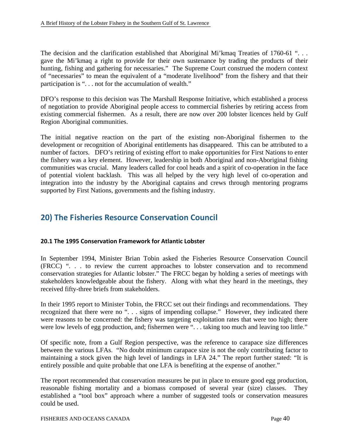The decision and the clarification established that Aboriginal Mi'kmaq Treaties of 1760-61 "... gave the Mi'kmaq a right to provide for their own sustenance by trading the products of their hunting, fishing and gathering for necessaries." The Supreme Court construed the modern context of "necessaries" to mean the equivalent of a "moderate livelihood" from the fishery and that their participation is ". . . not for the accumulation of wealth."

DFO's response to this decision was The Marshall Response Initiative, which established a process of negotiation to provide Aboriginal people access to commercial fisheries by retiring access from existing commercial fishermen. As a result, there are now over 200 lobster licences held by Gulf Region Aboriginal communities.

The initial negative reaction on the part of the existing non-Aboriginal fishermen to the development or recognition of Aboriginal entitlements has disappeared. This can be attributed to a number of factors. DFO's retiring of existing effort to make opportunities for First Nations to enter the fishery was a key element. However, leadership in both Aboriginal and non-Aboriginal fishing communities was crucial. Many leaders called for cool heads and a spirit of co-operation in the face of potential violent backlash. This was all helped by the very high level of co-operation and integration into the industry by the Aboriginal captains and crews through mentoring programs supported by First Nations, governments and the fishing industry.

### **20) The Fisheries Resource Conservation Council**

### **20.1 The 1995 Conservation Framework for Atlantic Lobster**

In September 1994, Minister Brian Tobin asked the Fisheries Resource Conservation Council (FRCC) ". . . to review the current approaches to lobster conservation and to recommend conservation strategies for Atlantic lobster." The FRCC began by holding a series of meetings with stakeholders knowledgeable about the fishery. Along with what they heard in the meetings, they received fifty-three briefs from stakeholders.

In their 1995 report to Minister Tobin, the FRCC set out their findings and recommendations. They recognized that there were no ". . . signs of impending collapse." However, they indicated there were reasons to be concerned: the fishery was targeting exploitation rates that were too high; there were low levels of egg production, and; fishermen were "... taking too much and leaving too little."

Of specific note, from a Gulf Region perspective, was the reference to carapace size differences between the various LFAs. "No doubt minimum carapace size is not the only contributing factor to maintaining a stock given the high level of landings in LFA 24." The report further stated: "It is entirely possible and quite probable that one LFA is benefiting at the expense of another."

The report recommended that conservation measures be put in place to ensure good egg production, reasonable fishing mortality and a biomass composed of several year (size) classes. They established a "tool box" approach where a number of suggested tools or conservation measures could be used.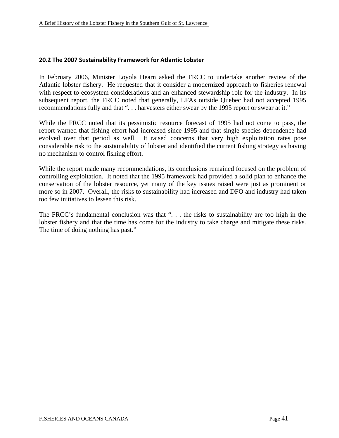### **20.2 The 2007 Sustainability Framework for Atlantic Lobster**

In February 2006, Minister Loyola Hearn asked the FRCC to undertake another review of the Atlantic lobster fishery. He requested that it consider a modernized approach to fisheries renewal with respect to ecosystem considerations and an enhanced stewardship role for the industry. In its subsequent report, the FRCC noted that generally, LFAs outside Quebec had not accepted 1995 recommendations fully and that ". . . harvesters either swear by the 1995 report or swear at it."

While the FRCC noted that its pessimistic resource forecast of 1995 had not come to pass, the report warned that fishing effort had increased since 1995 and that single species dependence had evolved over that period as well. It raised concerns that very high exploitation rates pose considerable risk to the sustainability of lobster and identified the current fishing strategy as having no mechanism to control fishing effort.

While the report made many recommendations, its conclusions remained focused on the problem of controlling exploitation. It noted that the 1995 framework had provided a solid plan to enhance the conservation of the lobster resource, yet many of the key issues raised were just as prominent or more so in 2007. Overall, the risks to sustainability had increased and DFO and industry had taken too few initiatives to lessen this risk.

The FRCC's fundamental conclusion was that ". . . the risks to sustainability are too high in the lobster fishery and that the time has come for the industry to take charge and mitigate these risks. The time of doing nothing has past."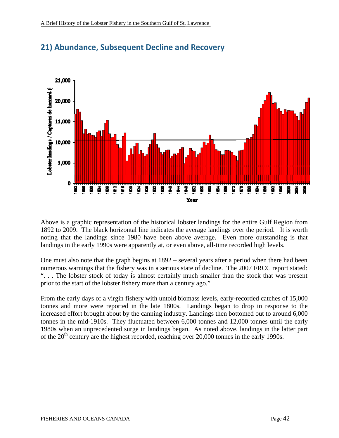

# **21) Abundance, Subsequent Decline and Recovery**

Above is a graphic representation of the historical lobster landings for the entire Gulf Region from 1892 to 2009. The black horizontal line indicates the average landings over the period. It is worth noting that the landings since 1980 have been above average. Even more outstanding is that landings in the early 1990s were apparently at, or even above, all-time recorded high levels.

One must also note that the graph begins at 1892 – several years after a period when there had been numerous warnings that the fishery was in a serious state of decline. The 2007 FRCC report stated: ". . . The lobster stock of today is almost certainly much smaller than the stock that was present prior to the start of the lobster fishery more than a century ago."

From the early days of a virgin fishery with untold biomass levels, early-recorded catches of 15,000 tonnes and more were reported in the late 1800s. Landings began to drop in response to the increased effort brought about by the canning industry. Landings then bottomed out to around 6,000 tonnes in the mid-1910s. They fluctuated between 6,000 tonnes and 12,000 tonnes until the early 1980s when an unprecedented surge in landings began. As noted above, landings in the latter part of the  $20<sup>th</sup>$  century are the highest recorded, reaching over 20,000 tonnes in the early 1990s.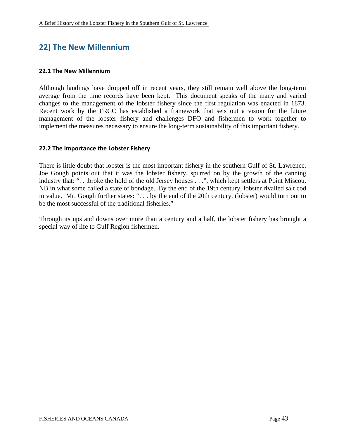### **22) The New Millennium**

#### **22.1 The New Millennium**

Although landings have dropped off in recent years, they still remain well above the long-term average from the time records have been kept. This document speaks of the many and varied changes to the management of the lobster fishery since the first regulation was enacted in 1873. Recent work by the FRCC has established a framework that sets out a vision for the future management of the lobster fishery and challenges DFO and fishermen to work together to implement the measures necessary to ensure the long-term sustainability of this important fishery.

### **22.2 The Importance the Lobster Fishery**

There is little doubt that lobster is the most important fishery in the southern Gulf of St. Lawrence. Joe Gough points out that it was the lobster fishery, spurred on by the growth of the canning industry that: ". . .broke the hold of the old Jersey houses . . .", which kept settlers at Point Miscou, NB in what some called a state of bondage. By the end of the 19th century, lobster rivalled salt cod in value. Mr. Gough further states: ". . . by the end of the 20th century, (lobster) would turn out to be the most successful of the traditional fisheries."

Through its ups and downs over more than a century and a half, the lobster fishery has brought a special way of life to Gulf Region fishermen.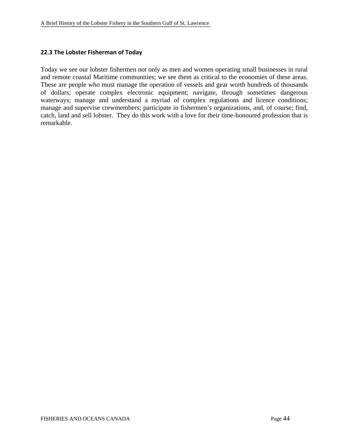### **22.3 The Lobster Fisherman of Today**

Today we see our lobster fishermen not only as men and women operating small businesses in rural and remote coastal Maritime communities; we see them as critical to the economies of these areas. These are people who must manage the operation of vessels and gear worth hundreds of thousands of dollars; operate complex electronic equipment; navigate, through sometimes dangerous waterways; manage and understand a myriad of complex regulations and licence conditions; manage and supervise crewmembers; participate in fishermen's organizations, and, of course; find, catch, land and sell lobster. They do this work with a love for their time-honoured profession that is remarkable.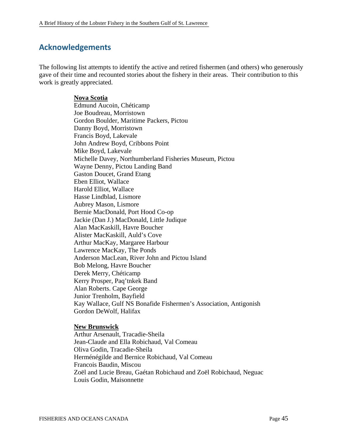### **Acknowledgements**

The following list attempts to identify the active and retired fishermen (and others) who generously gave of their time and recounted stories about the fishery in their areas. Their contribution to this work is greatly appreciated.

### **Nova Scotia**

Edmund Aucoin, Chéticamp Joe Boudreau, Morristown Gordon Boulder, Maritime Packers, Pictou Danny Boyd, Morristown Francis Boyd, Lakevale John Andrew Boyd, Cribbons Point Mike Boyd, Lakevale Michelle Davey, Northumberland Fisheries Museum, Pictou Wayne Denny, Pictou Landing Band Gaston Doucet, Grand Etang Eben Elliot, Wallace Harold Elliot, Wallace Hasse Lindblad, Lismore Aubrey Mason, Lismore Bernie MacDonald, Port Hood Co-op Jackie (Dan J.) MacDonald, Little Judique Alan MacKaskill, Havre Boucher Alister MacKaskill, Auld's Cove Arthur MacKay, Margaree Harbour Lawrence MacKay, The Ponds Anderson MacLean, River John and Pictou Island Bob Melong, Havre Boucher Derek Merry, Chéticamp Kerry Prosper, Paq'tnkek Band Alan Roberts. Cape George Junior Trenholm, Bayfield Kay Wallace, Gulf NS Bonafide Fishermen's Association, Antigonish Gordon DeWolf, Halifax

### **New Brunswick**

Arthur Arsenault, Tracadie-Sheila Jean-Claude and Ella Robichaud, Val Comeau Oliva Godin, Tracadie-Sheila Herménégilde and Bernice Robichaud, Val Comeau Francois Baudin, Miscou Zoël and Lucie Breau, Gaétan Robichaud and Zoël Robichaud, Neguac Louis Godin, Maisonnette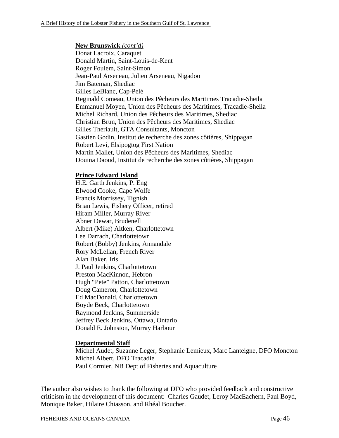### **New Brunswick** *(cont'd)*

Donat Lacroix, Caraquet Donald Martin, Saint-Louis-de-Kent Roger Foulem, Saint-Simon Jean-Paul Arseneau, Julien Arseneau, Nigadoo Jim Bateman, Shediac Gilles LeBlanc, Cap-Pelé Reginald Comeau, Union des Pêcheurs des Maritimes Tracadie-Sheila Emmanuel Moyen, Union des Pêcheurs des Maritimes, Tracadie-Sheila Michel Richard, Union des Pêcheurs des Maritimes, Shediac Christian Brun, Union des Pêcheurs des Maritimes, Shediac Gilles Theriault, GTA Consultants, Moncton Gastien Godin, Institut de recherche des zones côtières, Shippagan Robert Levi, Elsipogtog First Nation Martin Mallet, Union des Pêcheurs des Maritimes, Shediac Douina Daoud, Institut de recherche des zones côtières, Shippagan

### **Prince Edward Island**

H.E. Garth Jenkins, P. Eng Elwood Cooke, Cape Wolfe Francis Morrissey, Tignish Brian Lewis, Fishery Officer, retired Hiram Miller, Murray River Abner Dewar, Brudenell Albert (Mike) Aitken, Charlottetown Lee Darrach, Charlottetown Robert (Bobby) Jenkins, Annandale Rory McLellan, French River Alan Baker, Iris J. Paul Jenkins, Charlottetown Preston MacKinnon, Hebron Hugh "Pete" Patton, Charlottetown Doug Cameron, Charlottetown Ed MacDonald, Charlottetown Boyde Beck, Charlottetown Raymond Jenkins, Summerside Jeffrey Beck Jenkins, Ottawa, Ontario Donald E. Johnston, Murray Harbour

### **Departmental Staff**

Michel Audet, Suzanne Leger, Stephanie Lemieux, Marc Lanteigne, DFO Moncton Michel Albert, DFO Tracadie Paul Cormier, NB Dept of Fisheries and Aquaculture

The author also wishes to thank the following at DFO who provided feedback and constructive criticism in the development of this document: Charles Gaudet, Leroy MacEachern, Paul Boyd, Monique Baker, Hilaire Chiasson, and Rhéal Boucher.